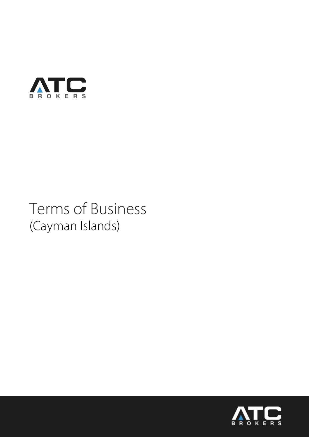

# Terms of Business (Cayman Islands)

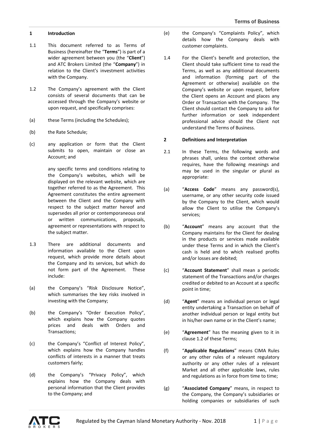### **1 Introduction**

- 1.1 This document referred to as Terms of Business (hereinafter the "**Terms**") is part of a wider agreement between you (the "**Client**") and ATC Brokers Limited (the "**Company**") in relation to the Client's investment activities with the Company.
- 1.2 The Company's agreement with the Client consists of several documents that can be accessed through the Company's website or upon request, and specifically comprises:
- (a) these Terms (including the Schedules);
- (b) the Rate Schedule;
- (c) any application or form that the Client submits to open, maintain or close an Account; and

any specific terms and conditions relating to the Company's websites, which will be displayed on the relevant website, which are together referred to as the Agreement. This Agreement constitutes the entire agreement between the Client and the Company with respect to the subject matter hereof and supersedes all prior or contemporaneous oral or written communications, proposals, agreement or representations with respect to the subject matter.

- 1.3 There are additional documents and information available to the Client upon request, which provide more details about the Company and its services, but which do not form part of the Agreement. These include:
- (a) the Company's "Risk Disclosure Notice", which summarises the key risks involved in investing with the Company;
- (b) the Company's "Order Execution Policy", which explains how the Company quotes prices and deals with Orders and Transactions;
- (c) the Company's "Conflict of Interest Policy", which explains how the Company handles conflicts of interests in a manner that treats customers fairly;
- (d) the Company's "Privacy Policy", which explains how the Company deals with personal information that the Client provides to the Company; and
- (e) the Company's "Complaints Policy", which details how the Company deals with customer complaints.
- 1.4 For the Client's benefit and protection, the Client should take sufficient time to read the Terms, as well as any additional documents and information (forming part of the Agreement or otherwise) available on the Company's website or upon request, before the Client opens an Account and places any Order or Transaction with the Company. The Client should contact the Company to ask for further information or seek independent professional advice should the Client not understand the Terms of Business.

#### **2 Definitions and Interpretation**

- 2.1 In these Terms, the following words and phrases shall, unless the context otherwise requires, have the following meanings and may be used in the singular or plural as appropriate:
- (a) "**Access Code**" means any password(s), username, or any other security code issued by the Company to the Client, which would allow the Client to utilise the Company's services;
- (b) "**Account**" means any account that the Company maintains for the Client for dealing in the products or services made available under these Terms and in which the Client's cash is held and to which realised profits and/or losses are debited;
- (c) "**Account Statement**" shall mean a periodic statement of the Transactions and/or charges credited or debited to an Account at a specific point in time;
- (d) "**Agent**" means an individual person or legal entity undertaking a Transaction on behalf of another individual person or legal entity but in his/her own name or in the Client's name;
- (e) "**Agreement**" has the meaning given to it in clause 1.2 of these Terms;
- (f) "**Applicable Regulations**" means CIMA Rules or any other rules of a relevant regulatory authority or any other rules of a relevant Market and all other applicable laws, rules and regulations as in force from time to time;
- (g) "**Associated Company**" means, in respect to the Company, the Company's subsidiaries or holding companies or subsidiaries of such

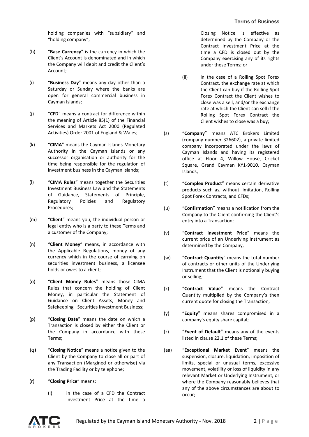holding companies with "subsidiary" and "holding company";

- (h) "**Base Currency**" is the currency in which the Client's Account is denominated and in which the Company will debit and credit the Client's Account;
- (i) "**Business Day**" means any day other than a Saturday or Sunday where the banks are open for general commercial business in Cayman Islands;
- (j) "**CFD**" means a contract for difference within the meaning of Article 85(1) of the Financial Services and Markets Act 2000 (Regulated Activities) Order 2001 of England & Wales;
- (k) "**CIMA**" means the Cayman Islands Monetary Authority in the Cayman Islands or any successor organisation or authority for the time being responsible for the regulation of investment business in the Cayman Islands;
- (l) "**CIMA Rules**" means together the Securities Investment Business Law and the Statements of Guidance, Statements of Principle, Regulatory Policies and Regulatory Procedures;
- (m) "**Client**" means you, the individual person or legal entity who is a party to these Terms and a customer of the Company;
- (n) "**Client Money**" means, in accordance with the Applicable Regulations, money of any currency which in the course of carrying on securities investment business, a licensee holds or owes to a client;
- (o) "**Client Money Rules**" means those CIMA Rules that concern the holding of Client Money, in particular the Statement of Guidance on Client Assets, Money and Safekeeping– Securities Investment Business;
- (p) "**Closing Date**" means the date on which a Transaction is closed by either the Client or the Company in accordance with these Terms;
- (q) "**Closing Notice**" means a notice given to the Client by the Company to close all or part of any Transaction (Margined or otherwise) via the Trading Facility or by telephone;
- (r) "**Closing Price**" means:
	- (i) in the case of a CFD the Contract Investment Price at the time a

Closing Notice is effective as determined by the Company or the Contract Investment Price at the time a CFD is closed out by the Company exercising any of its rights under these Terms; or

- (ii) in the case of a Rolling Spot Forex Contract, the exchange rate at which the Client can buy if the Rolling Spot Forex Contract the Client wishes to close was a sell, and/or the exchange rate at which the Client can sell if the Rolling Spot Forex Contract the Client wishes to close was a buy;
- (s) "**Company**" means ATC Brokers Limited (company number 326602), a private limited company incorporated under the laws of Cayman Islands and having its registered office at Floor 4, Willow House, Cricket Square, Grand Cayman KY1-9010, Cayman Islands;
- (t) "**Complex Product**" means certain derivative products such as, without limitation, Rolling Spot Forex Contracts, and CFDs;
- (u) "**Confirmation**" means a notification from the Company to the Client confirming the Client's entry into a Transaction;
- (v) "**Contract Investment Price**" means the current price of an Underlying Instrument as determined by the Company;
- (w) "**Contract Quantity**" means the total number of contracts or other units of the Underlying Instrument that the Client is notionally buying or selling;
- (x) "**Contract Value**" means the Contract Quantity multiplied by the Company's then current quote for closing the Transaction;
- (y) "**Equity**" means shares compromised in a company's equity share capital;
- (z) "**Event of Default**" means any of the events listed in clause 22.1 of these Terms;
- (aa) "**Exceptional Market Event**" means the suspension, closure, liquidation, imposition of limits, special or unusual terms, excessive movement, volatility or loss of liquidity in any relevant Market or Underlying Instrument, or where the Company reasonably believes that any of the above circumstances are about to occur;

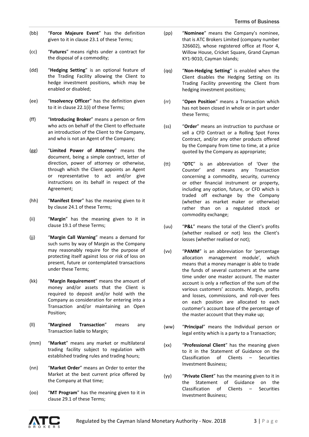- (bb) "**Force Majeure Event**" has the definition given to it in clause 23.1 of these Terms;
- (cc) "**Futures**" means rights under a contract for the disposal of a commodity;
- (dd) "**Hedging Setting**" is an optional feature of the Trading Facility allowing the Client to hedge investment positions, which may be enabled or disabled;
- (ee) "**Insolvency Officer**" has the definition given to it in clause 22.1(i) of these Terms;
- (ff) "**Introducing Broker**" means a person or firm who acts on behalf of the Client to effectuate an introduction of the Client to the Company, and who is not an Agent of the Company;
- (gg) "**Limited Power of Attorney**" means the document, being a simple contract, letter of direction, power of attorney or otherwise, through which the Client appoints an Agent or representative to act and/or give instructions on its behalf in respect of the Agreement;
- (hh) "**Manifest Error**" has the meaning given to it by clause 24.1 of these Terms;
- (ii) "**Margin**" has the meaning given to it in clause 19.1 of these Terms;
- (jj) "**Margin Call Warning**" means a demand for such sums by way of Margin as the Company may reasonably require for the purpose of protecting itself against loss or risk of loss on present, future or contemplated transactions under these Terms;
- (kk) "**Margin Requirement**" means the amount of money and/or assets that the Client is required to deposit and/or hold with the Company as consideration for entering into a Transaction and/or maintaining an Open Position;
- (ll) "**Margined Transaction**" means any Transaction liable to Margin;
- (mm) "**Market**" means any market or multilateral trading facility subject to regulation with established trading rules and trading hours;
- (nn) "**Market Order**" means an Order to enter the Market at the best current price offered by the Company at that time;
- (oo) "**MT Program**" has the meaning given to it in clause 29.1 of these Terms;
- (pp) "**Nominee**" means the Company's nominee, that is ATC Brokers Limited (company number 326602), whose registered office at Floor 4, Willow House, Cricket Square, Grand Cayman KY1-9010, Cayman Islands;
- (qq) "**Non-Hedging Setting**" is enabled when the Client disables the Hedging Setting on its Trading Facility preventing the Client from hedging investment positions;
- (rr) "**Open Position**" means a Transaction which has not been closed in whole or in part under these Terms;
- (ss) "**Order**" means an instruction to purchase or sell a CFD Contract or a Rolling Spot Forex Contract, and/or any other products offered by the Company from time to time, at a price quoted by the Company as appropriate;
- (tt) "**OTC**" is an abbreviation of 'Over the Counter' and means any Transaction concerning a commodity, security, currency or other financial instrument or property, including any option, future, or CFD which is traded off exchange by the Company (whether as market maker or otherwise) rather than on a regulated stock or commodity exchange;
- (uu) "**P&L**" means the total of the Client's profits (whether realised or not) less the Client's losses (whether realised or not);
- (vv) "**PAMM**" is an abbreviation for 'percentage allocation management module', which means that a money manager is able to trade the funds of several customers at the same time under one master account. The master account is only a reflection of the sum of the various customers' accounts. Margin, profits and losses, commissions, and roll-over fees on each position are allocated to each customer's account base of the percentage of the master account that they make up;
- (ww) "**Principal**" means the Individual person or legal entity which is a party to a Transaction;
- (xx) "**Professional Client**" has the meaning given to it in the Statement of Guidance on the Classification of Clients – Securities Investment Business;
- (yy) "**Private Client**" has the meaning given to it in the Statement of Guidance on the Classification of Clients – Securities Investment Business;

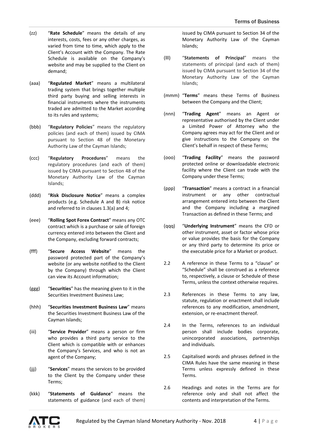- (zz) "**Rate Schedule**" means the details of any interests, costs, fees or any other charges, as varied from time to time, which apply to the Client's Account with the Company. The Rate Schedule is available on the Company's website and may be supplied to the Client on demand;
- (aaa) "**Regulated Market**" means a multilateral trading system that brings together multiple third party buying and selling interests in financial instruments where the instruments traded are admitted to the Market according to its rules and systems;
- (bbb) "**Regulatory Policies**" means the regulatory policies (and each of them) issued by CIMA pursuant to Section 48 of the Monetary Authority Law of the Cayman Islands;
- (ccc) "**Regulatory Procedures**" means the regulatory procedures (and each of them) issued by CIMA pursuant to Section 48 of the Monetary Authority Law of the Cayman Islands;
- (ddd) "**Risk Disclosure Notice**" means a complex products (e.g. Schedule A and B) risk notice and referred to in clauses 1.3(a) and 4;
- (eee) "**Rolling Spot Forex Contract**" means any OTC contract which is a purchase or sale of foreign currency entered into between the Client and the Company, excluding forward contracts;
- (fff) "**Secure Access Website**" means the password protected part of the Company's website (or any website notified to the Client by the Company) through which the Client can view its Account information;
- (ggg) "**Securities**" has the meaning given to it in the Securities Investment Business Law;
- (hhh) "**Securities Investment Business Law**" means the Securities Investment Business Law of the Cayman Islands;
- (iii) "**Service Provider**" means a person or firm who provides a third party service to the Client which is compatible with or enhances the Company's Services, and who is not an agent of the Company;
- (jjj) "**Services**" means the services to be provided to the Client by the Company under these Terms;
- (kkk) "**Statements of Guidance**" means the statements of guidance (and each of them)

issued by CIMA pursuant to Section 34 of the Monetary Authority Law of the Cayman Islands;

- (lll) "**Statements of Principal**" means the statements of principal (and each of them) issued by CIMA pursuant to Section 34 of the Monetary Authority Law of the Cayman Islands;
- (mmm) "**Terms**" means these Terms of Business between the Company and the Client;
- (nnn) "**Trading Agent**" means an Agent or representative authorised by the Client under a Limited Power of Attorney who the Company agrees may act for the Client and or give instructions to the Company on the Client's behalf in respect of these Terms;
- (ooo) "**Trading Facility**" means the password protected online or downloadable electronic facility where the Client can trade with the Company under these Terms;
- (ppp) "**Transaction**" means a contract in a financial instrument or any other contractual arrangement entered into between the Client and the Company including a margined Transaction as defined in these Terms; and
- (qqq) "**Underlying Instrument**" means the CFD or other instrument, asset or factor whose price or value provides the basis for the Company or any third party to determine its price or the executable price for a Market or product.
- 2.2 A reference in these Terms to a "clause" or "Schedule" shall be construed as a reference to, respectively, a clause or Schedule of these Terms, unless the context otherwise requires.
- 2.3 References in these Terms to any law, statute, regulation or enactment shall include references to any modification, amendment, extension, or re-enactment thereof.
- 2.4 In the Terms, references to an individual person shall include bodies corporate, unincorporated associations, partnerships and individuals.
- 2.5 Capitalised words and phrases defined in the CIMA Rules have the same meaning in these Terms unless expressly defined in these Terms.
- 2.6 Headings and notes in the Terms are for reference only and shall not affect the contents and interpretation of the Terms.

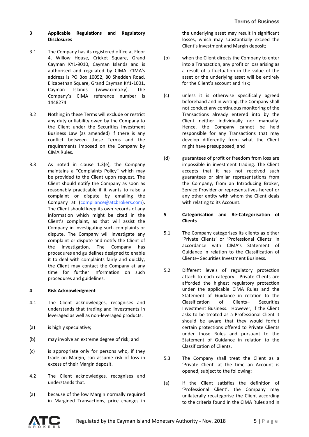# **3 Applicable Regulations and Regulatory Disclosures**

- 3.1 The Company has its registered office at Floor 4, Willow House, Cricket Square, Grand Cayman KY1-9010, Cayman Islands and is authorised and regulated by CIMA. CIMA's address is PO Box 10052, 80 Shedden Road, Elizabethan Square, Grand Cayman KY1-1001, Cayman Islands (www.cima.ky). The Company's CIMA reference number is 1448274.
- 3.2 Nothing in these Terms will exclude or restrict any duty or liability owed by the Company to the Client under the Securities Investment Business Law (as amended) if there is any conflict between these Terms and the requirements imposed on the Company by CIMA Rules.
- 3.3 As noted in clause 1.3(e), the Company maintains a "Complaints Policy" which may be provided to the Client upon request. The Client should notify the Company as soon as reasonably practicable if it wants to raise a complaint or dispute by emailing the Company at [\(compliance@atcbrokers.com\)](mailto:compliance@atcbrokers.com). The Client should keep its own records of any information which might be cited in the Client's complaint, as that will assist the Company in investigating such complaints or dispute. The Company will investigate any complaint or dispute and notify the Client of the investigation. The Company has procedures and guidelines designed to enable it to deal with complaints fairly and quickly; the Client may contact the Company at any time for further information on such procedures and guidelines.

# **4 Risk Acknowledgment**

- 4.1 The Client acknowledges, recognises and understands that trading and investments in leveraged as well as non-leveraged products:
- (a) is highly speculative;
- (b) may involve an extreme degree of risk; and
- (c) is appropriate only for persons who, if they trade on Margin, can assume risk of loss in excess of their Margin deposit.
- 4.2 The Client acknowledges, recognises and understands that:
- (a) because of the low Margin normally required in Margined Transactions, price changes in

the underlying asset may result in significant losses, which may substantially exceed the Client's investment and Margin deposit;

- (b) when the Client directs the Company to enter into a Transaction, any profit or loss arising as a result of a fluctuation in the value of the asset or the underlying asset will be entirely for the Client's account and risk;
- (c) unless it is otherwise specifically agreed beforehand and in writing, the Company shall not conduct any continuous monitoring of the Transactions already entered into by the Client neither individually nor manually. Hence, the Company cannot be held responsible for any Transactions that may develop differently from what the Client might have presupposed; and
- (d) guarantees of profit or freedom from loss are impossible in investment trading. The Client accepts that it has not received such guarantees or similar representations from the Company, from an Introducing Broker, Service Provider or representatives hereof or any other entity with whom the Client deals with relating to its Account.

### **5 Categorisation and Re-Categorisation of Clients**

- 5.1 The Company categorises its clients as either 'Private Clients' or 'Professional Clients' in accordance with CIMA's Statement of Guidance in relation to the Classification of Clients– Securities Investment Business.
- 5.2 Different levels of regulatory protection attach to each category. Private Clients are afforded the highest regulatory protection under the applicable CIMA Rules and the Statement of Guidance in relation to the Classification of Clients– Securities Investment Business. However, if the Client asks to be treated as a Professional Client it should be aware that they would forfeit certain protections offered to Private Clients under those Rules and pursuant to the Statement of Guidance in relation to the Classification of Clients.
- 5.3 The Company shall treat the Client as a 'Private Client' at the time an Account is opened, subject to the following:
- (a) If the Client satisfies the definition of 'Professional Client', the Company may unilaterally recategorise the Client according to the criteria found in the CIMA Rules and in

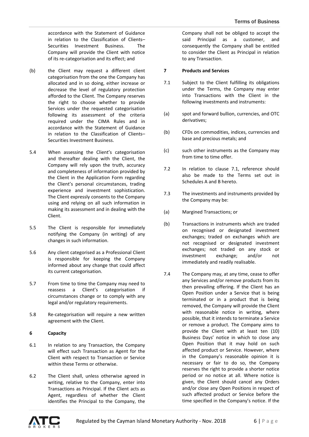accordance with the Statement of Guidance in relation to the Classification of Clients– Securities Investment Business. The Company will provide the Client with notice of its re-categorisation and its effect; and

- (b) the Client may request a different client categorisation from the one the Company has allocated and in so doing, either increase or decrease the level of regulatory protection afforded to the Client. The Company reserves the right to choose whether to provide Services under the requested categorisation following its assessment of the criteria required under the CIMA Rules and in accordance with the Statement of Guidance in relation to the Classification of Clients– Securities Investment Business.
- 5.4 When assessing the Client's categorisation and thereafter dealing with the Client, the Company will rely upon the truth, accuracy and completeness of information provided by the Client in the Application Form regarding the Client's personal circumstances, trading experience and investment sophistication. The Client expressly consents to the Company using and relying on all such information in making its assessment and in dealing with the Client.
- 5.5 The Client is responsible for immediately notifying the Company (in writing) of any changes in such information.
- 5.6 Any client categorised as a Professional Client is responsible for keeping the Company informed about any change that could affect its current categorisation.
- 5.7 From time to time the Company may need to reassess a Client's categorisation if circumstances change or to comply with any legal and/or regulatory requirements.
- 5.8 Re-categorisation will require a new written agreement with the Client.

# **6 Capacity**

- 6.1 In relation to any Transaction, the Company will effect such Transaction as Agent for the Client with respect to Transaction or Service within these Terms or otherwise.
- 6.2 The Client shall, unless otherwise agreed in writing, relative to the Company, enter into Transactions as Principal. If the Client acts as Agent, regardless of whether the Client identifies the Principal to the Company, the

Company shall not be obliged to accept the said Principal as a customer, and consequently the Company shall be entitled to consider the Client as Principal in relation to any Transaction.

# **7 Products and Services**

- 7.1 Subject to the Client fulfilling its obligations under the Terms, the Company may enter into Transactions with the Client in the following investments and instruments:
- (a) spot and forward bullion, currencies, and OTC derivatives;
- (b) CFDs on commodities, indices, currencies and base and precious metals; and
- (c) such other instruments as the Company may from time to time offer.
- 7.2 In relation to clause 7.1, reference should also be made to the Terms set out in Schedules A and B hereto.
- 7.3 The investments and instruments provided by the Company may be:
- (a) Margined Transactions; or
- (b) Transactions in instruments which are traded on recognised or designated investment exchanges; traded on exchanges which are not recognised or designated investment exchanges; not traded on any stock or investment exchange; and/or not immediately and readily realisable.
- 7.4 The Company may, at any time, cease to offer any Services and/or remove products from its then prevailing offering. If the Client has an Open Position under a Service that is being terminated or in a product that is being removed, the Company will provide the Client with reasonable notice in writing, where possible, that it intends to terminate a Service or remove a product. The Company aims to provide the Client with at least ten (10) Business Days' notice in which to close any Open Position that it may hold on such affected product or Service. However, where in the Company's reasonable opinion it is necessary or fair to do so, the Company reserves the right to provide a shorter notice period or no notice at all. Where notice is given, the Client should cancel any Orders and/or close any Open Positions in respect of such affected product or Service before the time specified in the Company's notice. If the

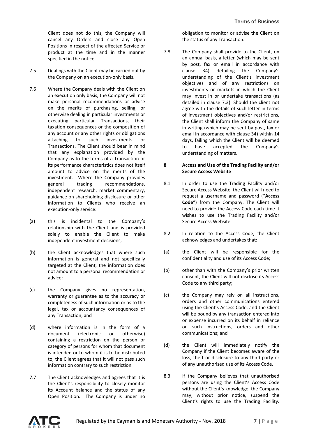Client does not do this, the Company will cancel any Orders and close any Open Positions in respect of the affected Service or product at the time and in the manner specified in the notice.

- 7.5 Dealings with the Client may be carried out by the Company on an execution-only basis.
- 7.6 Where the Company deals with the Client on an execution only basis, the Company will not make personal recommendations or advise on the merits of purchasing, selling, or otherwise dealing in particular investments or executing particular Transactions, their taxation consequences or the composition of any account or any other rights or obligations attaching to such investments or Transactions. The Client should bear in mind that any explanation provided by the Company as to the terms of a Transaction or its performance characteristics does not itself amount to advice on the merits of the investment. Where the Company provides general trading recommendations, independent research, market commentary, guidance on shareholding disclosure or other information to Clients who receive an execution-only service:
- (a) this is incidental to the Company's relationship with the Client and is provided solely to enable the Client to make independent investment decisions;
- (b) the Client acknowledges that where such information is general and not specifically targeted at the Client, the information does not amount to a personal recommendation or advice;
- (c) the Company gives no representation, warranty or guarantee as to the accuracy or completeness of such information or as to the legal, tax or accountancy consequences of any Transaction; and
- (d) where information is in the form of a document (electronic or otherwise) containing a restriction on the person or category of persons for whom that document is intended or to whom it is to be distributed to, the Client agrees that it will not pass such information contrary to such restriction.
- 7.7 The Client acknowledges and agrees that it is the Client's responsibility to closely monitor its Account balance and the status of any Open Position. The Company is under no

obligation to monitor or advise the Client on the status of any Transaction.

7.8 The Company shall provide to the Client, on an annual basis, a letter (which may be sent by post, fax or email in accordance with clause 34) detailing the Company's understanding of the Client's investment objectives and of any restrictions on investments or markets in which the Client may invest in or undertake transactions (as detailed in clause 7.3). Should the client not agree with the details of such letter in terms of investment objectives and/or restrictions, the Client shall inform the Company of same in writing (which may be sent by post, fax or email in accordance with clause 34) within 14 days, failing which the Client will be deemed to have accepted the Company's understanding of matters.

## **8 Access and Use of the Trading Facility and/or Secure Access Website**

- 8.1 In order to use the Trading Facility and/or Secure Access Website, the Client will need to request a username and password ("**Access Code**") from the Company. The Client will need to provide the Access Code each time it wishes to use the Trading Facility and/or Secure Access Website.
- 8.2 In relation to the Access Code, the Client acknowledges and undertakes that:
- (a) the Client will be responsible for the confidentiality and use of its Access Code;
- (b) other than with the Company's prior written consent, the Client will not disclose its Access Code to any third party;
- (c) the Company may rely on all instructions, orders and other communications entered using the Client's Access Code, and the Client will be bound by any transaction entered into or expense incurred on its behalf in reliance on such instructions, orders and other communications; and
- (d) the Client will immediately notify the Company if the Client becomes aware of the loss, theft or disclosure to any third party or of any unauthorised use of its Access Code.
- 8.3 If the Company believes that unauthorised persons are using the Client's Access Code without the Client's knowledge, the Company may, without prior notice, suspend the Client's rights to use the Trading Facility.

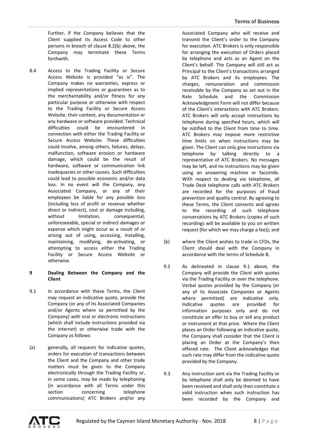Further, if the Company believes that the Client supplied its Access Code to other persons in breach of clause 8.2(b) above, the Company may terminate these Terms forthwith.

8.4 Access to the Trading Facility or Secure Access Website is provided "as is". The Company makes no warranties, express or implied representations or guarantees as to the merchantability and/or fitness for any particular purpose or otherwise with respect to the Trading Facility or Secure Access Website, their content, any documentation or any hardware or software provided. Technical difficulties could be encountered in connection with either the Trading Facility or Secure Access Website. These difficulties could involve, among others, failures, delays, malfunction, software erosion or hardware damage, which could be the result of hardware, software or communication link inadequacies or other causes. Such difficulties could lead to possible economic and/or data loss. In no event will the Company, any Associated Company, or any of their employees be liable for any possible loss (including loss of profit or revenue whether direct or indirect), cost or damage including, without limitation, consequential, unforeseeable, special or indirect damages or expense which might occur as a result of or arising out of using, accessing, installing, maintaining, modifying, de-activating, or attempting to access either the Trading Facility or Secure Access Website or otherwise.

# **9 Dealing Between the Company and the Client**

- 9.1 In accordance with these Terms, the Client may request an indicative quote, provide the Company (or any of its Associated Companies and/or Agents where so permitted by the Company) with oral or electronic instructions (which shall include instructions provided via the internet) or otherwise trade with the Company as follows:
- (a) generally, all requests for indicative quotes, orders for execution of transactions between the Client and the Company and other trade matters must be given to the Company electronically through the Trading Facility or, in some cases, may be made by telephoning (in accordance with all Terms under this section concerning telephone communications) ATC Brokers and/or any

Associated Company who will receive and transmit the Client's order to the Company for execution. ATC Brokers is only responsible for arranging the execution of Orders placed by telephone and acts as an Agent on the Client's behalf. The Company will still act as Principal to the Client's transactions arranged by ATC Brokers and its employees. The charges, remuneration and commission receivable by the Company as set out in the Rate Schedule and the Commission Acknowledgment Form will not differ because of the Client's interactions with ATC Brokers. ATC Brokers will only accept instructions by telephone during specified hours, which will be notified to the Client from time to time. ATC Brokers may impose more restrictive time limits on when instructions may be given. The Client can only give instructions via telephone by talking directly to a representative of ATC Brokers. No messages may be left, and no instructions may be given using an answering machine or facsimile. With respect to dealing via telephone, all Trade Desk telephone calls with ATC Brokers are recorded for the purposes of fraud prevention and quality control. By agreeing to these Terms, the Client consents and agrees to the recording of such telephone conversations by ATC Brokers (copies of such recordings will be available to you on written request (for which we may charge a fee)); and

- (b) where the Client wishes to trade in CFDs, the Client should deal with the Company in accordance with the terms of Schedule B.
- 9.2 As delineated in clause 9.1 above, the Company will provide the Client with quotes via the Trading Facility or over the telephone. Verbal quotes provided by the Company (or any of its Associate Companies or Agents where permitted) are indicative only. Indicative quotes are provided for information purposes only and do not constitute an offer to buy or sell any product or instrument at that price. Where the Client places an Order following an indicative quote, the Company shall consider that the Client is placing an Order at the Company's then offered rate. The Client acknowledges that such rate may differ from the indicative quote provided by the Company.
- 9.3 Any instruction sent via the Trading Facility or by telephone shall only be deemed to have been received and shall only then constitute a valid instruction when such instruction has been recorded by the Company and

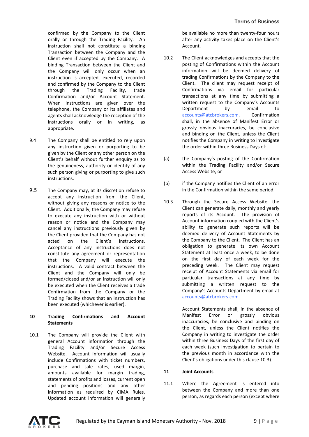confirmed by the Company to the Client orally or through the Trading Facility. An instruction shall not constitute a binding Transaction between the Company and the Client even if accepted by the Company. A binding Transaction between the Client and the Company will only occur when an instruction is accepted, executed, recorded and confirmed by the Company to the Client through the Trading Facility, trade Confirmation and/or Account Statement. When instructions are given over the telephone, the Company or its affiliates and agents shall acknowledge the reception of the instructions orally or in writing, as appropriate.

- 9.4 The Company shall be entitled to rely upon any instruction given or purporting to be given by the Client or any other person on the Client's behalf without further enquiry as to the genuineness, authority or identity of any such person giving or purporting to give such instructions.
- 9.5 The Company may, at its discretion refuse to accept any instruction from the Client, without giving any reasons or notice to the Client. Additionally, the Company may refuse to execute any instruction with or without reason or notice and the Company may cancel any instructions previously given by the Client provided that the Company has not acted on the Client's instructions. Acceptance of any instructions does not constitute any agreement or representation that the Company will execute the instructions. A valid contract between the Client and the Company will only be formed/closed and/or an instruction will only be executed when the Client receives a trade Confirmation from the Company or the Trading Facility shows that an instruction has been executed (whichever is earlier).

### **10 Trading Confirmations and Account Statements**

10.1 The Company will provide the Client with general Account information through the Trading Facility and/or Secure Access Website. Account information will usually include Confirmations with ticket numbers, purchase and sale rates, used margin, amounts available for margin trading, statements of profits and losses, current open and pending positions and any other information as required by CIMA Rules. Updated account information will generally be available no more than twenty-four hours after any activity takes place on the Client's Account.

- 10.2 The Client acknowledges and accepts that the posting of Confirmations within the Account information will be deemed delivery of trading Confirmations by the Company to the Client. The client may request receipt of Confirmations via email for particular transactions at any time by submitting a written request to the Company's Accounts Department by email to [accounts@atcbrokers.com.](mailto:accounts@atcbrokers.com) Confirmation shall, in the absence of Manifest Error or grossly obvious inaccuracies, be conclusive and binding on the Client, unless the Client notifies the Company in writing to investigate the order within three Business Days of:
- (a) the Company's posting of the Confirmation within the Trading Facility and/or Secure Access Website; or
- (b) if the Company notifies the Client of an error in the Confirmation within the same period.
- 10.3 Through the Secure Access Website, the Client can generate daily, monthly and yearly reports of its Account. The provision of Account information coupled with the Client's ability to generate such reports will be deemed delivery of Account Statements by the Company to the Client. The Client has an obligation to generate its own Account Statement at least once a week, to be done on the first day of each week for the preceding week. The Client may request receipt of Account Statements via email for particular transactions at any time by submitting a written request to the Company's Accounts Department by email at [accounts@atcbrokers.com.](mailto:accounts@atcbrokers.com)

Account Statements shall, in the absence of Manifest Error or grossly obvious inaccuracies, be conclusive and binding on the Client, unless the Client notifies the Company in writing to investigate the order within three Business Days of the first day of each week (such investigation to pertain to the previous month in accordance with the Client's obligations under this clause 10.3).

# **11 Joint Accounts**

11.1 Where the Agreement is entered into between the Company and more than one person, as regards each person (except where

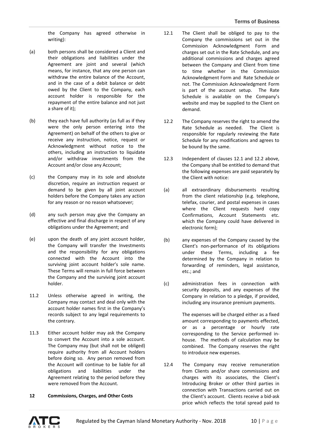the Company has agreed otherwise in writing):

- (a) both persons shall be considered a Client and their obligations and liabilities under the Agreement are joint and several (which means, for instance, that any one person can withdraw the entire balance of the Account, and in the case of a debit balance or debt owed by the Client to the Company, each account holder is responsible for the repayment of the entire balance and not just a share of it);
- (b) they each have full authority (as full as if they were the only person entering into the Agreement) on behalf of the others to give or receive any instruction, notice, request or Acknowledgment without notice to the others, including an instruction to liquidate and/or withdraw investments from the Account and/or close any Account;
- (c) the Company may in its sole and absolute discretion, require an instruction request or demand to be given by all joint account holders before the Company takes any action for any reason or no reason whatsoever;
- (d) any such person may give the Company an effective and final discharge in respect of any obligations under the Agreement; and
- (e) upon the death of any joint account holder, the Company will transfer the Investments and the responsibility for any obligations connected with the Account into the surviving joint account holder's sole name. These Terms will remain in full force between the Company and the surviving joint account holder.
- 11.2 Unless otherwise agreed in writing, the Company may contact and deal only with the account holder names first in the Company's records subject to any legal requirements to the contrary.
- 11.3 Either account holder may ask the Company to convert the Account into a sole account. The Company may (but shall not be obliged) require authority from all Account holders before doing so. Any person removed from the Account will continue to be liable for all obligations and liabilities under the Agreement relating to the period before they were removed from the Account.
- **12 Commissions, Charges, and Other Costs**
- 12.1 The Client shall be obliged to pay to the Company the commissions set out in the Commission Acknowledgment Form and charges set out in the Rate Schedule, and any additional commissions and charges agreed between the Company and Client from time to time whether in the Commission Acknowledgment Form and Rate Schedule or not. The Commission Acknowledgment Form is part of the account setup. The Rate Schedule is available on the Company's website and may be supplied to the Client on demand.
- 12.2 The Company reserves the right to amend the Rate Schedule as needed. The Client is responsible for regularly reviewing the Rate Schedule for any modifications and agrees to be bound by the same.
- 12.3 Independent of clauses 12.1 and 12.2 above, the Company shall be entitled to demand that the following expenses are paid separately by the Client with notice:
- (a) all extraordinary disbursements resulting from the client relationship (e.g. telephone, telefax, courier, and postal expenses in cases where the Client requests hard copy Confirmations, Account Statements etc. which the Company could have delivered in electronic form);
- (b) any expenses of the Company caused by the Client's non-performance of its obligations under these Terms, including a fee determined by the Company in relation to forwarding of reminders, legal assistance, etc.; and
- (c) administration fees in connection with security deposits, and any expenses of the Company in relation to a pledge, if provided, including any insurance premium payments.

The expenses will be charged either as a fixed amount corresponding to payments effected, or as a percentage or hourly rate corresponding to the Service performed inhouse. The methods of calculation may be combined. The Company reserves the right to introduce new expenses.

12.4 The Company may receive remuneration from Clients and/or share commissions and charges with its associates, the Client's Introducing Broker or other third parties in connection with Transactions carried out on the Client's account. Clients receive a bid-ask price which reflects the total spread paid to

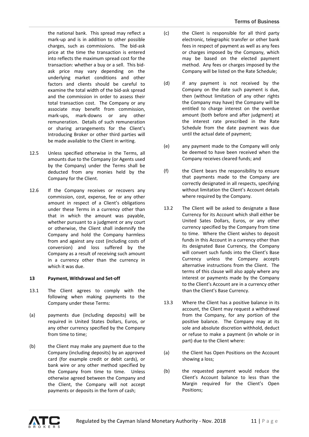the national bank. This spread may reflect a mark-up and is in addition to other possible charges, such as commissions. The bid-ask price at the time the transaction is entered into reflects the maximum spread cost for the transaction: whether a buy or a sell. This bidask price may vary depending on the underlying market conditions and other factors and clients should be careful to examine the total width of the bid-ask spread and the commission in order to assess their total transaction cost. The Company or any associate may benefit from commission, mark-ups, mark-downs or any other remuneration. Details of such remuneration or sharing arrangements for the Client's Introducing Broker or other third parties will be made available to the Client in writing.

- 12.5 Unless specified otherwise in the Terms, all amounts due to the Company (or Agents used by the Company) under the Terms shall be deducted from any monies held by the Company for the Client.
- 12.6 If the Company receives or recovers any commission, cost, expense, fee or any other amount in respect of a Client's obligations under these Terms in a currency other than that in which the amount was payable, whether pursuant to a judgment or any court or otherwise, the Client shall indemnify the Company and hold the Company harmless from and against any cost (including costs of conversion) and loss suffered by the Company as a result of receiving such amount in a currency other than the currency in which it was due.

# **13 Payment, Withdrawal and Set-off**

- 13.1 The Client agrees to comply with the following when making payments to the Company under these Terms:
- (a) payments due (including deposits) will be required in United States Dollars, Euros, or any other currency specified by the Company from time to time;
- (b) the Client may make any payment due to the Company (including deposits) by an approved card (for example credit or debit cards), or bank wire or any other method specified by the Company from time to time. Unless otherwise agreed between the Company and the Client, the Company will not accept payments or deposits in the form of cash;
- (c) the Client is responsible for all third party electronic, telegraphic transfer or other bank fees in respect of payment as well as any fees or charges imposed by the Company, which may be based on the elected payment method. Any fees or charges imposed by the Company will be listed on the Rate Schedule;
- (d) if any payment is not received by the Company on the date such payment is due, then (without limitation of any other rights the Company may have) the Company will be entitled to charge interest on the overdue amount (both before and after judgment) at the interest rate prescribed in the Rate Schedule from the date payment was due until the actual date of payment;
- (e) any payment made to the Company will only be deemed to have been received when the Company receives cleared funds; and
- (f) the Client bears the responsibility to ensure that payments made to the Company are correctly designated in all respects, specifying without limitation the Client's Account details where required by the Company.
- 13.2 The Client will be asked to designate a Base Currency for its Account which shall either be United Sates Dollars, Euros, or any other currency specified by the Company from time to time. Where the Client wishes to deposit funds in this Account in a currency other than its designated Base Currency, the Company will convert such funds into the Client's Base Currency unless the Company accepts alternative instructions from the Client. The terms of this clause will also apply where any interest or payments made by the Company to the Client's Account are in a currency other than the Client's Base Currency.
- 13.3 Where the Client has a positive balance in its account, the Client may request a withdrawal from the Company, for any portion of the positive balance. The Company may at its sole and absolute discretion withhold, deduct or refuse to make a payment (in whole or in part) due to the Client where:
- (a) the Client has Open Positions on the Account showing a loss;
- (b) the requested payment would reduce the Client's Account balance to less than the Margin required for the Client's Open Positions;

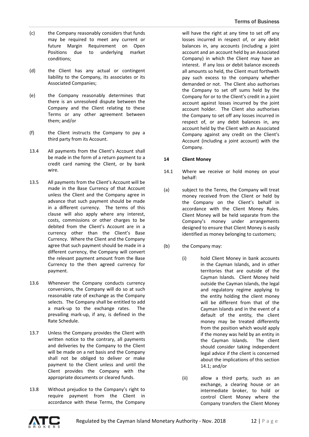- (c) the Company reasonably considers that funds may be required to meet any current or future Margin Requirement on Open Positions due to underlying market conditions;
- (d) the Client has any actual or contingent liability to the Company, its associates or its Associated Companies;
- (e) the Company reasonably determines that there is an unresolved dispute between the Company and the Client relating to these Terms or any other agreement between them; and/or
- (f) the Client instructs the Company to pay a third party from its Account.
- 13.4 All payments from the Client's Account shall be made in the form of a return payment to a credit card naming the Client, or by bank wire.
- 13.5 All payments from the Client's Account will be made in the Base Currency of that Account unless the Client and the Company agree in advance that such payment should be made in a different currency. The terms of this clause will also apply where any interest, costs, commissions or other charges to be debited from the Client's Account are in a currency other than the Client's Base Currency. Where the Client and the Company agree that such payment should be made in a different currency, the Company will convert the relevant payment amount from the Base Currency to the then agreed currency for payment.
- 13.6 Whenever the Company conducts currency conversions, the Company will do so at such reasonable rate of exchange as the Company selects. The Company shall be entitled to add a mark-up to the exchange rates. The prevailing mark-up, if any, is defined in the Rate Schedule.
- 13.7 Unless the Company provides the Client with written notice to the contrary, all payments and deliveries by the Company to the Client will be made on a net basis and the Company shall not be obliged to deliver or make payment to the Client unless and until the Client provides the Company with the appropriate documents or cleared funds.
- 13.8 Without prejudice to the Company's right to require payment from the Client in accordance with these Terms, the Company

will have the right at any time to set off any losses incurred in respect of, or any debit balances in, any accounts (including a joint account and an account held by an Associated Company) in which the Client may have an interest. If any loss or debit balance exceeds all amounts so held, the Client must forthwith pay such excess to the company whether demanded or not. The Client also authorises the Company to set off sums held by the Company for or to the Client's credit in a joint account against losses incurred by the joint account holder. The Client also authorises the Company to set off any losses incurred in respect of, or any debit balances in, any account held by the Client with an Associated Company against any credit on the Client's Account (including a joint account) with the Company.

# **14 Client Money**

- 14.1 Where we receive or hold money on your behalf:
- (a) subject to the Terms, the Company will treat money received from the Client or held by the Company on the Client's behalf in accordance with the Client Money Rules. Client Money will be held separate from the Company's money under arrangements designed to ensure that Client Money is easily identified as money belonging to customers;
- (b) the Company may:
	- (i) hold Client Money in bank accounts in the Cayman Islands, and in other territories that are outside of the Cayman Islands. Client Money held outside the Cayman Islands, the legal and regulatory regime applying to the entity holding the client money will be different from that of the Cayman Islands and in the event of a default of the entity, the client money may be treated differently from the position which would apply if the money was held by an entity in the Cayman Islands. The client should consider taking independent legal advice if the client is concerned about the implications of this section 14.1; and/or
	- (ii) allow a third party, such as an exchange, a clearing house or an intermediate broker, to hold or control Client Money where the Company transfers the Client Money

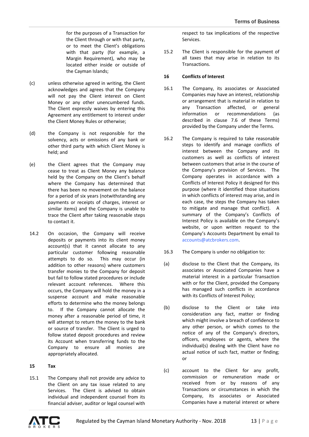for the purposes of a Transaction for the Client through or with that party, or to meet the Client's obligations with that party (for example, a Margin Requirement), who may be located either inside or outside of the Cayman Islands;

- (c) unless otherwise agreed in writing, the Client acknowledges and agrees that the Company will not pay the Client interest on Client Money or any other unencumbered funds. The Client expressly waives by entering this Agreement any entitlement to interest under the Client Money Rules or otherwise;
- (d) the Company is not responsible for the solvency, acts or omissions of any bank or other third party with which Client Money is held; and
- (e) the Client agrees that the Company may cease to treat as Client Money any balance held by the Company on the Client's behalf where the Company has determined that there has been no movement on the balance for a period of six years (notwithstanding any payments or receipts of charges, interest or similar items) and the Company is unable to trace the Client after taking reasonable steps to contact it.
- 14.2 On occasion, the Company will receive deposits or payments into its client money account(s) that it cannot allocate to any particular customer following reasonable attempts to do so. This may occur (in addition to other reasons) where customers transfer monies to the Company for deposit but fail to follow stated procedures or include relevant account references. Where this occurs, the Company will hold the money in a suspense account and make reasonable efforts to determine who the money belongs to. If the Company cannot allocate the money after a reasonable period of time, it will attempt to return the money to the bank or source of transfer. The Client is urged to follow stated deposit procedures and review its Account when transferring funds to the Company to ensure all monies are appropriately allocated.

#### **15 Tax**

15.1 The Company shall not provide any advice to the Client on any tax issue related to any Services. The Client is advised to obtain individual and independent counsel from its financial adviser, auditor or legal counsel with respect to tax implications of the respective Services.

15.2 The Client is responsible for the payment of all taxes that may arise in relation to its Transactions.

## **16 Conflicts of Interest**

- 16.1 The Company, its associates or Associated Companies may have an interest, relationship or arrangement that is material in relation to any Transaction affected, or general information or recommendations (as described in clause 7.6 of these Terms) provided by the Company under the Terms.
- 16.2 The Company is required to take reasonable steps to identify and manage conflicts of interest between the Company and its customers as well as conflicts of interest between customers that arise in the course of the Company's provision of Services. The Company operates in accordance with a Conflicts of Interest Policy it designed for this purpose (where it identified those situations in which conflicts of interest may arise, and in each case, the steps the Company has taken to mitigate and manage that conflict). A summary of the Company's Conflicts of Interest Policy is available on the Company's website, or upon written request to the Company's Accounts Department by email to [accounts@atcbrokers.com.](mailto:accounts@atcbrokers.com)
- 16.3 The Company is under no obligation to:
- (a) disclose to the Client that the Company, its associates or Associated Companies have a material interest in a particular Transaction with or for the Client, provided the Company has managed such conflicts in accordance with its Conflicts of Interest Policy;
- (b) disclose to the Client or take into consideration any fact, matter or finding which might involve a breach of confidence to any other person, or which comes to the notice of any of the Company's directors, officers, employees or agents, where the individual(s) dealing with the Client have no actual notice of such fact, matter or finding; or
- (c) account to the Client for any profit, commission or remuneration made or received from or by reasons of any Transactions or circumstances in which the Company, its associates or Associated Companies have a material interest or where

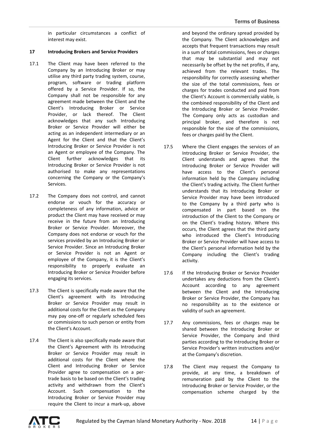in particular circumstances a conflict of interest may exist.

## **17 Introducing Brokers and Service Providers**

- 17.1 The Client may have been referred to the Company by an Introducing Broker or may utilise any third party trading system, course, program, software or trading platform offered by a Service Provider. If so, the Company shall not be responsible for any agreement made between the Client and the Client's Introducing Broker or Service Provider, or lack thereof. The Client acknowledges that any such Introducing Broker or Service Provider will either be acting as an independent intermediary or an Agent for the Client and that the Client's Introducing Broker or Service Provider is not an Agent or employee of the Company. The Client further acknowledges that its Introducing Broker or Service Provider is not authorised to make any representations concerning the Company or the Company's Services.
- 17.2 The Company does not control, and cannot endorse or vouch for the accuracy or completeness of any information, advice or product the Client may have received or may receive in the future from an Introducing Broker or Service Provider. Moreover, the Company does not endorse or vouch for the services provided by an Introducing Broker or Service Provider. Since an Introducing Broker or Service Provider is not an Agent or employee of the Company, it is the Client's responsibility to properly evaluate an Introducing Broker or Service Provider before engaging its services.
- 17.3 The Client is specifically made aware that the Client's agreement with its Introducing Broker or Service Provider may result in additional costs for the Client as the Company may pay one-off or regularly scheduled fees or commissions to such person or entity from the Client's Account.
- 17.4 The Client is also specifically made aware that the Client's Agreement with its Introducing Broker or Service Provider may result in additional costs for the Client where the Client and Introducing Broker or Service Provider agree to compensation on a pertrade basis to be based on the Client's trading activity and withdrawn from the Client's Account. Such compensation to the Introducing Broker or Service Provider may require the Client to incur a mark-up, above

and beyond the ordinary spread provided by the Company. The Client acknowledges and accepts that frequent transactions may result in a sum of total commissions, fees or charges that may be substantial and may not necessarily be offset by the net profits, if any, achieved from the relevant trades. The responsibility for correctly assessing whether the size of the total commissions, fees or charges for trades conducted and paid from the Client's Account is commercially viable, is the combined responsibility of the Client and the Introducing Broker or Service Provider. The Company only acts as custodian and principal broker, and therefore is not responsible for the size of the commissions, fees or charges paid by the Client.

- 17.5 Where the Client engages the services of an Introducing Broker or Service Provider, the Client understands and agrees that the Introducing Broker or Service Provider will have access to the Client's personal information held by the Company including the Client's trading activity. The Client further understands that its Introducing Broker or Service Provider may have been introduced to the Company by a third party who is compensated in part based on the introduction of the Client to the Company or on the Client's trading history. Where this occurs, the Client agrees that the third party who introduced the Client's Introducing Broker or Service Provider will have access to the Client's personal information held by the Company including the Client's trading activity.
- 17.6 If the Introducing Broker or Service Provider undertakes any deductions from the Client's Account according to any agreement between the Client and the Introducing Broker or Service Provider, the Company has no responsibility as to the existence or validity of such an agreement.
- 17.7 Any commissions, fees or charges may be shared between the Introducing Broker or Service Provider, the Company and third parties according to the Introducing Broker or Service Provider's written instructions and/or at the Company's discretion.
- 17.8 The Client may request the Company to provide, at any time, a breakdown of remuneration paid by the Client to the Introducing Broker or Service Provider, or the compensation scheme charged by the

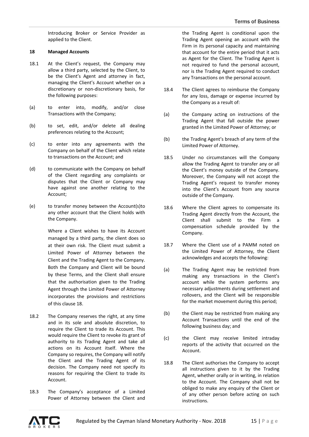Introducing Broker or Service Provider as applied to the Client.

## **18 Managed Accounts**

- 18.1 At the Client's request, the Company may allow a third party, selected by the Client, to be the Client's Agent and attorney in fact, managing the Client's Account whether on a discretionary or non-discretionary basis, for the following purposes:
- (a) to enter into, modify, and/or close Transactions with the Company;
- (b) to set, edit, and/or delete all dealing preferences relating to the Account;
- (c) to enter into any agreements with the Company on behalf of the Client which relate to transactions on the Account; and
- (d) to communicate with the Company on behalf of the Client regarding any complaints or disputes that the Client or Company may have against one another relating to the Account;
- (e) to transfer money between the Account(s)to any other account that the Client holds with the Company.

Where a Client wishes to have its Account managed by a third party, the client does so at their own risk. The Client must submit a Limited Power of Attorney between the Client and the Trading Agent to the Company. Both the Company and Client will be bound by these Terms, and the Client shall ensure that the authorisation given to the Trading Agent through the Limited Power of Attorney incorporates the provisions and restrictions of this clause 18.

- 18.2 The Company reserves the right, at any time and in its sole and absolute discretion, to require the Client to trade its Account. This would require the Client to revoke its grant of authority to its Trading Agent and take all actions on its Account itself. Where the Company so requires, the Company will notify the Client and the Trading Agent of its decision. The Company need not specify its reasons for requiring the Client to trade its Account.
- 18.3 The Company's acceptance of a Limited Power of Attorney between the Client and

the Trading Agent is conditional upon the Trading Agent opening an account with the Firm in its personal capacity and maintaining that account for the entire period that it acts as Agent for the Client. The Trading Agent is not required to fund the personal account, nor is the Trading Agent required to conduct any Transactions on the personal account.

- 18.4 The Client agrees to reimburse the Company for any loss, damage or expense incurred by the Company as a result of:
- (a) the Company acting on instructions of the Trading Agent that fall outside the power granted in the Limited Power of Attorney; or
- (b) the Trading Agent's breach of any term of the Limited Power of Attorney.
- 18.5 Under no circumstances will the Company allow the Trading Agent to transfer any or all the Client's money outside of the Company. Moreover, the Company will not accept the Trading Agent's request to transfer money into the Client's Account from any source outside of the Company.
- 18.6 Where the Client agrees to compensate its Trading Agent directly from the Account, the Client shall submit to the Firm a compensation schedule provided by the Company.
- 18.7 Where the Client use of a PAMM noted on the Limited Power of Attorney, the Client acknowledges and accepts the following:
- (a) The Trading Agent may be restricted from making any transactions in the Client's account while the system performs any necessary adjustments during settlement and rollovers, and the Client will be responsible for the market movement during this period;
- (b) the Client may be restricted from making any Account Transactions until the end of the following business day; and
- (c) the Client may receive limited intraday reports of the activity that occurred on the Account.
- 18.8 The Client authorises the Company to accept all instructions given to it by the Trading Agent, whether orally or in writing, in relation to the Account. The Company shall not be obliged to make any enquiry of the Client or of any other person before acting on such instructions.

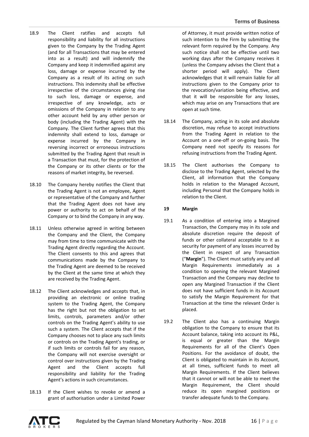- 18.9 The Client ratifies and accepts full responsibility and liability for all instructions given to the Company by the Trading Agent (and for all Transactions that may be entered into as a result) and will indemnify the Company and keep it indemnified against any loss, damage or expense incurred by the Company as a result of its acting on such instructions. This indemnity shall be effective irrespective of the circumstances giving rise to such loss, damage or expense, and irrespective of any knowledge, acts or omissions of the Company in relation to any other account held by any other person or body (including the Trading Agent) with the Company. The Client further agrees that this indemnity shall extend to loss, damage or expense incurred by the Company in reversing incorrect or erroneous instructions submitted by the Trading Agent that result in a Transaction that must, for the protection of the Company or its other clients or for the reasons of market integrity, be reversed.
- 18.10 The Company hereby notifies the Client that the Trading Agent is not an employee, Agent or representative of the Company and further that the Trading Agent does not have any power or authority to act on behalf of the Company or to bind the Company in any way.
- 18.11 Unless otherwise agreed in writing between the Company and the Client, the Company may from time to time communicate with the Trading Agent directly regarding the Account. The Client consents to this and agrees that communications made by the Company to the Trading Agent are deemed to be received by the Client at the same time at which they are received by the Trading Agent.
- 18.12 The Client acknowledges and accepts that, in providing an electronic or online trading system to the Trading Agent, the Company has the right but not the obligation to set limits, controls, parameters and/or other controls on the Trading Agent's ability to use such a system. The Client accepts that if the Company chooses not to place any such limits or controls on the Trading Agent's trading, or if such limits or controls fail for any reason, the Company will not exercise oversight or control over instructions given by the Trading Agent and the Client accepts full responsibility and liability for the Trading Agent's actions in such circumstances.
- 18.13 If the Client wishes to revoke or amend a grant of authorisation under a Limited Power

of Attorney, it must provide written notice of such intention to the Firm by submitting the relevant form required by the Company. Any such notice shall not be effective until two working days after the Company receives it (unless the Company advises the Client that a shorter period will apply). The Client acknowledges that it will remain liable for all instructions given to the Company prior to the revocation/variation being effective, and that it will be responsible for any losses, which may arise on any Transactions that are open at such time.

- 18.14 The Company, acting in its sole and absolute discretion, may refuse to accept instructions from the Trading Agent in relation to the Account on a one-off or on-going basis. The Company need not specify its reasons for refusing instructions from the Trading Agent.
- 18.15 The Client authorises the Company to disclose to the Trading Agent, selected by the Client, all information that the Company holds in relation to the Managed Account, including Personal that the Company holds in relation to the Client.

# **19 Margin**

- 19.1 As a condition of entering into a Margined Transaction, the Company may in its sole and absolute discretion require the deposit of funds or other collateral acceptable to it as security for payment of any losses incurred by the Client in respect of any Transaction ("**Margin**"). The Client must satisfy any and all Margin Requirements immediately as a condition to opening the relevant Margined Transaction and the Company may decline to open any Margined Transaction if the Client does not have sufficient funds in its Account to satisfy the Margin Requirement for that Transaction at the time the relevant Order is placed.
- 19.2 The Client also has a continuing Margin obligation to the Company to ensure that its Account balance, taking into account its P&L, is equal or greater than the Margin Requirements for all of the Client's Open Positions. For the avoidance of doubt, the Client is obligated to maintain in its Account, at all times, sufficient funds to meet all Margin Requirements. If the Client believes that it cannot or will not be able to meet the Margin Requirement, the Client should reduce its open margined positions or transfer adequate funds to the Company.

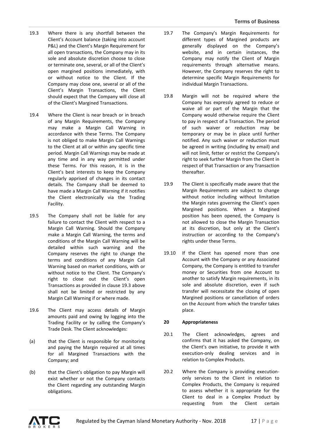- 19.3 Where there is any shortfall between the Client's Account balance (taking into account P&L) and the Client's Margin Requirement for all open transactions, the Company may in its sole and absolute discretion choose to close or terminate one, several, or all of the Client's open margined positions immediately, with or without notice to the Client. If the Company may close one, several or all of the Client's Margin Transactions, the Client should expect that the Company will close all of the Client's Margined Transactions.
- 19.4 Where the Client is near breach or in breach of any Margin Requirements, the Company may make a Margin Call Warning in accordance with these Terms. The Company is not obliged to make Margin Call Warnings to the Client at all or within any specific time period. Margin Call Warnings may be made at any time and in any way permitted under these Terms. For this reason, it is in the Client's best interests to keep the Company regularly apprised of changes in its contact details. The Company shall be deemed to have made a Margin Call Warning if it notifies the Client electronically via the Trading Facility.
- 19.5 The Company shall not be liable for any failure to contact the Client with respect to a Margin Call Warning. Should the Company make a Margin Call Warning, the terms and conditions of the Margin Call Warning will be detailed within such warning and the Company reserves the right to change the terms and conditions of any Margin Call Warning based on market conditions, with or without notice to the Client. The Company's right to close out the Client's open Transactions as provided in clause 19.3 above shall not be limited or restricted by any Margin Call Warning if or where made.
- 19.6 The Client may access details of Margin amounts paid and owing by logging into the Trading Facility or by calling the Company's Trade Desk. The Client acknowledges:
- (a) that the Client is responsible for monitoring and paying the Margin required at all times for all Margined Transactions with the Company; and
- (b) that the Client's obligation to pay Margin will exist whether or not the Company contacts the Client regarding any outstanding Margin obligations.
- 19.7 The Company's Margin Requirements for different types of Margined products are generally displayed on the Company's website, and in certain instances, the Company may notify the Client of Margin requirements through alternative means. However, the Company reserves the right to determine specific Margin Requirements for individual Margin Transactions.
- 19.8 Margin will not be required where the Company has expressly agreed to reduce or waive all or part of the Margin that the Company would otherwise require the Client to pay in respect of a Transaction. The period of such waiver or reduction may be temporary or may be in place until further notified. Any such waiver or reduction must be agreed in writing (including by email) and will not limit, fetter or restrict the Company's right to seek further Margin from the Client in respect of that Transaction or any Transaction thereafter.
- 19.9 The Client is specifically made aware that the Margin Requirements are subject to change without notice including without limitation the Margin rates governing the Client's open Margined positions. When a Margined position has been opened, the Company is not allowed to close the Margin Transaction at its discretion, but only at the Client's instruction or according to the Company's rights under these Terms.
- 19.10 If the Client has opened more than one Account with the Company or any Associated Company, the Company is entitled to transfer money or Securities from one Account to another to satisfy Margin requirements, in its sole and absolute discretion, even if such transfer will necessitate the closing of open Margined positions or cancellation of orders on the Account from which the transfer takes place.

# **20 Appropriateness**

- 20.1 The Client acknowledges, agrees and confirms that it has asked the Company, on the Client's own initiative, to provide it with execution-only dealing services and in relation to Complex Products.
- 20.2 Where the Company is providing executiononly services to the Client in relation to Complex Products, the Company is required to assess whether it is appropriate for the Client to deal in a Complex Product by requesting from the Client certain

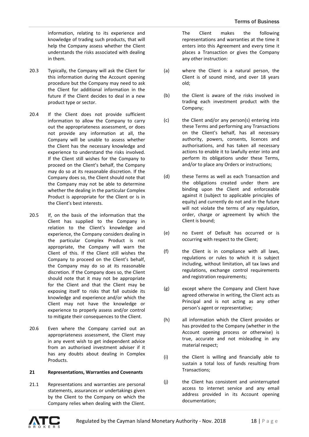information, relating to its experience and knowledge of trading such products, that will help the Company assess whether the Client understands the risks associated with dealing in them.

- 20.3 Typically, the Company will ask the Client for this information during the Account opening procedure but the Company may need to ask the Client for additional information in the future if the Client decides to deal in a new product type or sector.
- 20.4 If the Client does not provide sufficient information to allow the Company to carry out the appropriateness assessment, or does not provide any information at all, the Company will be unable to assess whether the Client has the necessary knowledge and experience to understand the risks involved. If the Client still wishes for the Company to proceed on the Client's behalf, the Company may do so at its reasonable discretion. If the Company does so, the Client should note that the Company may not be able to determine whether the dealing in the particular Complex Product is appropriate for the Client or is in the Client's best interests.
- 20.5 If, on the basis of the information that the Client has supplied to the Company in relation to the Client's knowledge and experience, the Company considers dealing in the particular Complex Product is not appropriate, the Company will warn the Client of this. If the Client still wishes the Company to proceed on the Client's behalf, the Company may do so at its reasonable discretion. If the Company does so, the Client should note that it may not be appropriate for the Client and that the Client may be exposing itself to risks that fall outside its knowledge and experience and/or which the Client may not have the knowledge or experience to properly assess and/or control to mitigate their consequences to the Client.
- 20.6 Even where the Company carried out an appropriateness assessment, the Client may in any event wish to get independent advice from an authorised investment adviser if it has any doubts about dealing in Complex Products.

#### **21 Representations, Warranties and Covenants**

21.1 Representations and warranties are personal statements, assurances or undertakings given by the Client to the Company on which the Company relies when dealing with the Client.

The Client makes the following representations and warranties at the time it enters into this Agreement and every time it places a Transaction or gives the Company any other instruction:

- (a) where the Client is a natural person, the Client is of sound mind, and over 18 years old;
- (b) the Client is aware of the risks involved in trading each investment product with the Company;
- (c) the Client and/or any person(s) entering into these Terms and performing any Transactions on the Client's behalf, has all necessary authority, powers, consents, licences and authorisations, and has taken all necessary actions to enable it to lawfully enter into and perform its obligations under these Terms, and/or to place any Orders or instructions;
- (d) these Terms as well as each Transaction and the obligations created under them are binding upon the Client and enforceable against it (subject to applicable principles of equity) and currently do not and in the future will not violate the terms of any regulation. order, charge or agreement by which the Client is bound;
- (e) no Event of Default has occurred or is occurring with respect to the Client;
- (f) the Client is in compliance with all laws, regulations or rules to which it is subject including, without limitation, all tax laws and regulations, exchange control requirements and registration requirements:
- (g) except where the Company and Client have agreed otherwise in writing, the Client acts as Principal and is not acting as any other person's agent or representative;
- (h) all information which the Client provides or has provided to the Company (whether in the Account opening process or otherwise) is true, accurate and not misleading in any material respect;
- (i) the Client is willing and financially able to sustain a total loss of funds resulting from Transactions;
- (j) the Client has consistent and uninterrupted access to internet service and any email address provided in its Account opening documentation;

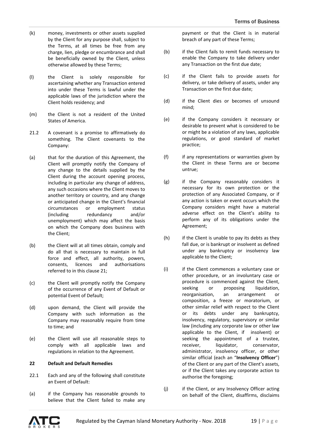- (k) money, investments or other assets supplied by the Client for any purpose shall, subject to the Terms, at all times be free from any charge, lien, pledge or encumbrance and shall be beneficially owned by the Client, unless otherwise allowed by these Terms;
- (l) the Client is solely responsible for ascertaining whether any Transaction entered into under these Terms is lawful under the applicable laws of the jurisdiction where the Client holds residency; and
- (m) the Client is not a resident of the United States of America.
- 21.2 A covenant is a promise to affirmatively do something. The Client covenants to the Company:
- (a) that for the duration of this Agreement, the Client will promptly notify the Company of any change to the details supplied by the Client during the account opening process, including in particular any change of address, any such occasions where the Client moves to another territory or country, and any change or anticipated change in the Client's financial circumstances or employment status (including redundancy and/or unemployment) which may affect the basis on which the Company does business with the Client;
- (b) the Client will at all times obtain, comply and do all that is necessary to maintain in full force and effect, all authority, powers, consents, licences and authorisations referred to in this clause 21;
- (c) the Client will promptly notify the Company of the occurrence of any Event of Default or potential Event of Default;
- (d) upon demand, the Client will provide the Company with such information as the Company may reasonably require from time to time; and
- (e) the Client will use all reasonable steps to comply with all applicable laws and regulations in relation to the Agreement.

#### **22 Default and Default Remedies**

- 22.1 Each and any of the following shall constitute an Event of Default:
- (a) if the Company has reasonable grounds to believe that the Client failed to make any

payment or that the Client is in material breach of any part of these Terms;

- (b) if the Client fails to remit funds necessary to enable the Company to take delivery under any Transaction on the first due date;
- (c) if the Client fails to provide assets for delivery, or take delivery of assets, under any Transaction on the first due date;
- (d) if the Client dies or becomes of unsound mind;
- (e) if the Company considers it necessary or desirable to prevent what is considered to be or might be a violation of any laws, applicable regulations, or good standard of market practice;
- (f) if any representations or warranties given by the Client in these Terms are or become untrue;
- (g) if the Company reasonably considers it necessary for its own protection or the protection of any Associated Company, or if any action is taken or event occurs which the Company considers might have a material adverse effect on the Client's ability to perform any of its obligations under the Agreement;
- (h) if the Client is unable to pay its debts as they fall due, or is bankrupt or insolvent as defined under any bankruptcy or insolvency law applicable to the Client;
- (i) if the Client commences a voluntary case or other procedure, or an involuntary case or procedure is commenced against the Client, seeking or proposing liquidation, reorganisation, an arrangement or composition, a freeze or moratorium, or other similar relief with respect to the Client or its debts under any bankruptcy, insolvency, regulatory, supervisory or similar law (including any corporate law or other law applicable to the Client, if insolvent) or seeking the appointment of a trustee, receiver, liquidator, conservator, administrator, insolvency officer, or other similar official (each an "**Insolvency Officer**") of the Client or any part of the Client's assets, or if the Client takes any corporate action to authorise the foregoing;
- (j) if the Client, or any Insolvency Officer acting on behalf of the Client, disaffirms, disclaims

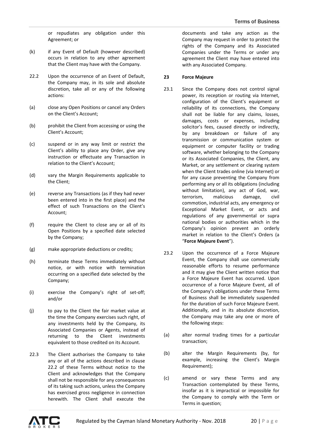or repudiates any obligation under this Agreement; or

- (k) if any Event of Default (however described) occurs in relation to any other agreement that the Client may have with the Company.
- 22.2 Upon the occurrence of an Event of Default, the Company may, in its sole and absolute discretion, take all or any of the following actions:
- (a) close any Open Positions or cancel any Orders on the Client's Account;
- (b) prohibit the Client from accessing or using the Client's Account;
- (c) suspend or in any way limit or restrict the Client's ability to place any Order, give any instruction or effectuate any Transaction in relation to the Client's Account;
- (d) vary the Margin Requirements applicable to the Client;
- (e) reverse any Transactions (as if they had never been entered into in the first place) and the effect of such Transactions on the Client's Account;
- (f) require the Client to close any or all of its Open Positions by a specified date selected by the Company;
- (g) make appropriate deductions or credits;
- (h) terminate these Terms immediately without notice, or with notice with termination occurring on a specified date selected by the Company;
- (i) exercise the Company's right of set-off; and/or
- (j) to pay to the Client the fair market value at the time the Company exercises such right, of any investments held by the Company, its Associated Companies or Agents, instead of returning to the Client investments equivalent to those credited on its Account.
- 22.3 The Client authorises the Company to take any or all of the actions described in clause 22.2 of these Terms without notice to the Client and acknowledges that the Company shall not be responsible for any consequences of its taking such actions, unless the Company has exercised gross negligence in connection herewith. The Client shall execute the

documents and take any action as the Company may request in order to protect the rights of the Company and its Associated Companies under the Terms or under any agreement the Client may have entered into with any Associated Company.

## **23 Force Majeure**

- 23.1 Since the Company does not control signal power, its reception or routing via Internet, configuration of the Client's equipment or reliability of its connections, the Company shall not be liable for any claims, losses, damages, costs or expenses, including solicitor's fees, caused directly or indirectly, by any breakdown or failure of any transmission or communication system or equipment or computer facility or trading software, whether belonging to the Company or its Associated Companies, the Client, any Market, or any settlement or clearing system when the Client trades online (via Internet) or for any cause preventing the Company from performing any or all its obligations (including without limitation), any act of God, war, terrorism, malicious damage, civil commotion, industrial acts, any emergency or Exceptional Market Event, or acts and regulations of any governmental or supra national bodies or authorities which in the Company's opinion prevent an orderly market in relation to the Client's Orders (a "**Force Majeure Event**").
- 23.2 Upon the occurrence of a Force Majeure Event, the Company shall use commercially reasonable efforts to resume performance and it may give the Client written notice that a Force Majeure Event has occurred. Upon occurrence of a Force Majeure Event, all of the Company's obligations under these Terms of Business shall be immediately suspended for the duration of such Force Majeure Event. Additionally, and in its absolute discretion, the Company may take any one or more of the following steps:
- (a) alter normal trading times for a particular transaction;
- (b) alter the Margin Requirements (by, for example, increasing the Client's Margin Requirement);
- (c) amend or vary these Terms and any Transaction contemplated by these Terms, insofar as it is impractical or impossible for the Company to comply with the Term or Terms in question;

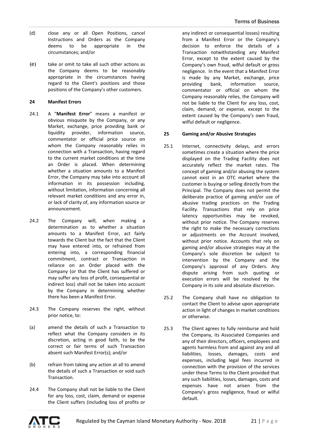- (d) close any or all Open Positions, cancel Instructions and Orders as the Company deems to be appropriate in the circumstances; and/or
- (e) take or omit to take all such other actions as the Company deems to be reasonably appropriate in the circumstances having regard to the Client's positions and those positions of the Company's other customers.

## **24 Manifest Errors**

- 24.1 A "**Manifest Error**" means a manifest or obvious misquote by the Company, or any Market, exchange, price providing bank or liquidity provider, information source, commentator or official price source on whom the Company reasonably relies in connection with a Transaction, having regard to the current market conditions at the time an Order is placed. When determining whether a situation amounts to a Manifest Error, the Company may take into account all information in its possession including, without limitation, information concerning all relevant market conditions and any error in, or lack of clarity of, any information source or announcement.
- 24.2 The Company will, when making a determination as to whether a situation amounts to a Manifest Error, act fairly towards the Client but the fact that the Client may have entered into, or refrained from entering into, a corresponding financial commitment, contract or Transaction in reliance on an Order placed with the Company (or that the Client has suffered or may suffer any loss of profit, consequential or indirect loss) shall not be taken into account by the Company in determining whether there has been a Manifest Error.
- 24.3 The Company reserves the right, without prior notice, to:
- (a) amend the details of such a Transaction to reflect what the Company considers in its discretion, acting in good faith, to be the correct or fair terms of such Transaction absent such Manifest Error(s); and/or
- (b) refrain from taking any action at all to amend the details of such a Transaction or void such Transaction.
- 24.4 The Company shall not be liable to the Client for any loss, cost, claim, demand or expense the Client suffers (including loss of profits or

any indirect or consequential losses) resulting from a Manifest Error or the Company's decision to enforce the details of a Transaction notwithstanding any Manifest Error, except to the extent caused by the Company's own fraud, wilful default or gross negligence. In the event that a Manifest Error is made by any Market, exchange, price providing bank, information source, commentator or official on whom the Company reasonably relies, the Company will not be liable to the Client for any loss, cost, claim, demand, or expense, except to the extent caused by the Company's own fraud, wilful default or negligence.

# **25 Gaming and/or Abusive Strategies**

- 25.1 Internet, connectivity delays, and errors sometimes create a situation where the price displayed on the Trading Facility does not accurately reflect the market rates. The concept of gaming and/or abusing the system cannot exist in an OTC market where the customer is buying or selling directly from the Principal. The Company does not permit the deliberate practice of gaming and/or use of abusive trading practices on the Trading Facility. Transactions that rely on price latency opportunities may be revoked, without prior notice. The Company reserves the right to make the necessary corrections or adjustments on the Account involved, without prior notice. Accounts that rely on gaming and/or abusive strategies may at the Company's sole discretion be subject to intervention by the Company and the Company's approval of any Orders. Any dispute arising from such quoting or execution errors will be resolved by the Company in its sole and absolute discretion.
- 25.2 The Company shall have no obligation to contact the Client to advise upon appropriate action in light of changes in market conditions or otherwise.
- 25.3 The Client agrees to fully reimburse and hold the Company, its Associated Companies and any of their directors, officers, employees and agents harmless from and against any and all liabilities, losses, damages, costs and expenses, including legal fees incurred in connection with the provision of the services under these Terms to the Client provided that any such liabilities, losses, damages, costs and expenses have not arisen from the Company's gross negligence, fraud or wilful default.

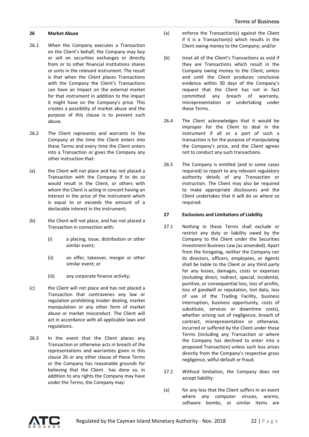### **26 Market Abuse**

- 26.1 When the Company executes a Transaction on the Client's behalf, the Company may buy or sell on securities exchanges or directly from or to other financial institutions shares or units in the relevant instrument. The result is that when the Client places Transactions with the Company the Client's Transactions can have an impact on the external market for that instrument in addition to the impact it might have on the Company's price. This creates a possibility of market abuse and the purpose of this clause is to prevent such abuse.
- 26.2 The Client represents and warrants to the Company at the time the Client enters into these Terms and every time the Client enters into a Transaction or gives the Company any other instruction that:
- (a) the Client will not place and has not placed a Transaction with the Company if to do so would result in the Client, or others with whom the Client is acting in concert having an interest in the price of the instrument which is equal to or exceeds the amount of a declarable interest in the instrument;
- (b) the Client will not place, and has not placed a Transaction in connection with:
	- (i) a placing, issue, distribution or other similar event;
	- (ii) an offer, takeover, merger or other similar event; or
	- (iii) any corporate finance activity;
- (c) the Client will not place and has not placed a Transaction that contravenes any law or regulation prohibiting insider dealing, market manipulation or any other form of market abuse or market misconduct. The Client will act in accordance with all applicable laws and regulations.
- 26.3 In the event that the Client places any Transaction or otherwise acts in breach of the representations and warranties given in this clause 26 or any other clause of these Terms or the Company has reasonable grounds for believing that the Client has done so, in addition to any rights the Company may have under the Terms, the Company may:
- (a) enforce the Transaction(s) against the Client if it is a Transaction(s) which results in the Client owing money to the Company; and/or
- (b) treat all of the Client's Transactions as void if they are Transactions which result in the Company owing money to the Client, unless and until the Client produces conclusive evidence within 30 days of the Company's request that the Client has not in fact committed any breach of warranty, misrepresentation or undertaking under these Terms.
- 26.4 The Client acknowledges that it would be improper for the Client to deal in the instrument if all or a part of such a transaction is for the purpose of manipulating the Company's price, and the Client agrees not to conduct any such transactions.
- 26.5 The Company is entitled (and in some cases required) to report to any relevant regulatory authority details of any Transaction or instruction. The Client may also be required to make appropriate disclosures and the Client undertakes that it will do so where so required.

### **27 Exclusions and Limitations of Liability**

- 27.1 Nothing in these Terms shall exclude or restrict any duty or liability owed by the Company to the Client under the Securities Investment Business Law (as amended). Apart from the foregoing, neither the Company nor its directors, officers, employees, or Agents shall be liable to the Client or any third party for any losses, damages, costs or expenses (including direct, indirect, special, incidental, punitive, or consequential loss, loss of profits, loss of goodwill or reputation, lost data, loss of use of the Trading Facility, business interruption, business opportunity, costs of substitute, services or downtime costs), whether arising out of negligence, breach of contract, misrepresentation or otherwise, incurred or suffered by the Client under these Terms (including any Transaction or where the Company has declined to enter into a proposed Transaction) unless such loss arises directly from the Company's respective gross negligence, wilful default or fraud.
- 27.2 Without limitation, the Company does not accept liability:
- (a) for any loss that the Client suffers in an event where any computer viruses, worms, software bombs, or similar items are

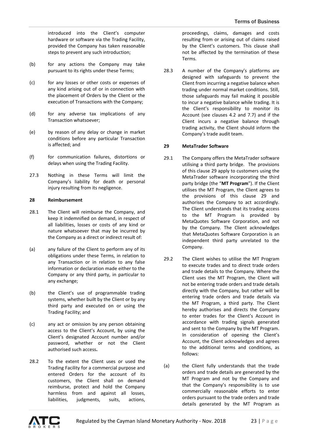introduced into the Client's computer hardware or software via the Trading Facility, provided the Company has taken reasonable steps to prevent any such introduction;

- (b) for any actions the Company may take pursuant to its rights under these Terms;
- (c) for any losses or other costs or expenses of any kind arising out of or in connection with the placement of Orders by the Client or the execution of Transactions with the Company;
- (d) for any adverse tax implications of any Transaction whatsoever;
- (e) by reason of any delay or change in market conditions before any particular Transaction is affected; and
- (f) for communication failures, distortions or delays when using the Trading Facility.
- 27.3 Nothing in these Terms will limit the Company's liability for death or personal injury resulting from its negligence.

### **28 Reimbursement**

- 28.1 The Client will reimburse the Company, and keep it indemnified on demand, in respect of all liabilities, losses or costs of any kind or nature whatsoever that may be incurred by the Company as a direct or indirect result of:
- (a) any failure of the Client to perform any of its obligations under these Terms, in relation to any Transaction or in relation to any false information or declaration made either to the Company or any third party, in particular to any exchange;
- (b) the Client's use of programmable trading systems, whether built by the Client or by any third party and executed on or using the Trading Facility; and
- (c) any act or omission by any person obtaining access to the Client's Account, by using the Client's designated Account number and/or password, whether or not the Client authorised such access**.**
- 28.2 To the extent the Client uses or used the Trading Facility for a commercial purpose and entered Orders for the account of its customers, the Client shall on demand reimburse, protect and hold the Company harmless from and against all losses, liabilities, judgments, suits, actions,

proceedings, claims, damages and costs resulting from or arising out of claims raised by the Client's customers. This clause shall not be affected by the termination of these Terms.

28.3 A number of the Company's platforms are designed with safeguards to prevent the Client from incurring a negative balance when trading under normal market conditions. Still, those safeguards may fail making it possible to incur a negative balance while trading. It is the Client's responsibility to monitor its Account (see clauses 4.2 and 7.7) and if the Client incurs a negative balance through trading activity, the Client should inform the Company's trade audit team.

### **29 MetaTrader Software**

- 29.1 The Company offers the MetaTrader software utilising a third party bridge. The provisions of this clause 29 apply to customers using the MetaTrader software incorporating the third party bridge (the "**MT Program**"). If the Client utilises the MT Program, the Client agrees to the provisions of this clause 29 and authorises the Company to act accordingly. The Client understands that its trading access to the MT Program is provided by MetaQuotes Software Corporation, and not by the Company. The Client acknowledges that MetaQuotes Software Corporation is an independent third party unrelated to the Company.
- 29.2 The Client wishes to utilise the MT Program to execute trades and to direct trade orders and trade details to the Company. Where the Client uses the MT Program, the Client will not be entering trade orders and trade details directly with the Company, but rather will be entering trade orders and trade details via the MT Program, a third party. The Client hereby authorises and directs the Company to enter trades for the Client's Account in accordance with trading signals generated and sent to the Company by the MT Program. In consideration of opening the Client's Account, the Client acknowledges and agrees to the additional terms and conditions, as follows:
- (a) the Client fully understands that the trade orders and trade details are generated by the MT Program and not by the Company and that the Company's responsibility is to use commercially reasonable efforts to enter orders pursuant to the trade orders and trade details generated by the MT Program as

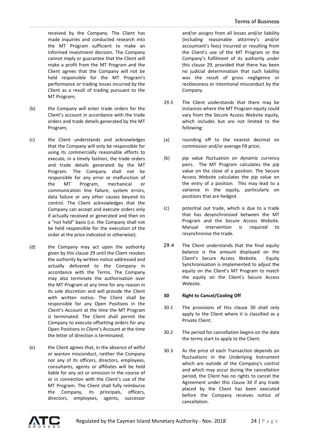received by the Company. The Client has made inquiries and conducted research into the MT Program sufficient to make an informed investment decision. The Company cannot imply or guarantee that the Client will make a profit from the MT Program and the Client agrees that the Company will not be held responsible for the MT Program's performance or trading losses incurred by the Client as a result of trading pursuant to the MT Program;

- (b) the Company will enter trade orders for the Client's account in accordance with the trade orders and trade details generated by the MT Program;
- (c) the Client understands and acknowledges that the Company will only be responsible for using its commercially reasonable efforts to execute, in a timely fashion, the trade orders and trade details generated by the MT Program. The Company shall not be responsible for any error or malfunction of the MT Program, mechanical or communication line failure, system errors, data failure or any other causes beyond its control. The Client acknowledges that the Company can accept and execute orders only if actually received or generated and then on a "not held" basis (i.e. the Company shall not be held responsible for the execution of the order at the price indicated or otherwise);
- (d) the Company may act upon the authority given by this clause 29 until the Client revokes the authority by written notice addressed and actually delivered to the Company in accordance with the Terms. The Company may also terminate the authorisation over the MT Program at any time for any reason in its sole discretion and will provide the Client with written notice. The Client shall be responsible for any Open Positions in the Client's Account at the time the MT Program is terminated. The Client shall permit the Company to execute offsetting orders for any Open Positions in Client's Account at the time the letter of direction is terminated;
- (e) the Client agrees that, in the absence of wilful or wanton misconduct, neither the Company nor any of its officers, directors, employees, consultants, agents or affiliates will be held liable for any act or omission in the course of or in connection with the Client's use of the MT Program. The Client shall fully reimburse the Company, its principals, officers, directors, employees, agents, successor

and/or assigns from all losses and/or liability (including reasonable attorney's and/or accountant's fees) incurred or resulting from the Client's use of the MT Program or the Company's fulfilment of its authority under this clause 29, provided that there has been no judicial determination that such liability was the result of gross negligence or recklessness or intentional misconduct by the Company.

- 29.3 The Client understands that there may be instances where the MT Program equity could vary from the Secure Access Website equity, which includes but are not limited to the following:
- (a) rounding off to the nearest decimal on commission and/or average fill price;
- (b) pip value fluctuation on dynamic currency pairs. The MT Program calculates the pip value on the close of a position. The Secure Access Website calculates the pip value on the entry of a position. This may lead to a variance in the equity, particularly on positions that are hedged.
- (c) potential out trade, which is due to a trade that has desynchronised between the MT Program and the Secure Access Website. Manual intervention is required resynchronise the trade.
- 29.4 The Client understands that the final equity balance is the amount displayed on the Client's Secure Access Website. Equity Synchronisation is implemented to adjust the equity on the Client's MT Program to match the equity on the Client's Secure Access Website.

# **30 Right to Cancel/Cooling Off**

- 30.1 The provisions of this clause 30 shall only apply to the Client where it is classified as a Private Client.
- 30.2 The period for cancellation begins on the date the terms start to apply to the Client.
- 30.3 As the price of each Transaction depends on fluctuations in the Underlying Instrument which are outside of the Company's control and which may occur during the cancellation period, the Client has no rights to cancel the Agreement under this clause 30 if any trade placed by the Client has been executed before the Company receives notice of cancellation.

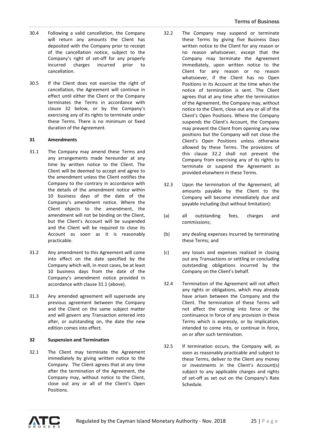- 30.4 Following a valid cancellation, the Company will return any amounts the Client has deposited with the Company prior to receipt of the cancellation notice, subject to the Company's right of set-off for any properly incurred charges incurred prior to cancellation.
- 30.5 If the Client does not exercise the right of cancellation, the Agreement will continue in effect until either the Client or the Company terminates the Terms in accordance with clause 32 below, or by the Company's exercising any of its rights to terminate under these Terms. There is no minimum or fixed duration of the Agreement.

### **31 Amendments**

- 31.1 The Company may amend these Terms and any arrangements made hereunder at any time by written notice to the Client. The Client will be deemed to accept and agree to the amendment unless the Client notifies the Company to the contrary in accordance with the details of the amendment notice within 10 business days of the date of the Company's amendment notice. Where the Client objects to the amendment, the amendment will not be binding on the Client, but the Client's Account will be suspended and the Client will be required to close its Account as soon as it is reasonably practicable.
- 31.2 Any amendment to this Agreement will come into effect on the date specified by the Company which will, in most cases, be at least 10 business days from the date of the Company's amendment notice provided in accordance with clause 31.1 (above).
- 31.3 Any amended agreement will supersede any previous agreement between the Company and the Client on the same subject matter and will govern any Transaction entered into after, or outstanding on, the date the new edition comes into effect.

#### **32 Suspension and Termination**

32.1 The Client may terminate the Agreement immediately by giving written notice to the Company. The Client agrees that at any time after the termination of the Agreement, the Company may, without notice to the Client, close out any or all of the Client's Open Positions.

- 32.2 The Company may suspend or terminate these Terms by giving five Business Days written notice to the Client for any reason or no reason whatsoever, except that the Company may terminate the Agreement immediately, upon written notice to the Client for any reason or no reason whatsoever, if the Client has no Open Positions in its Account at the time when the notice of termination is sent. The Client agrees that at any time after the termination of the Agreement, the Company may, without notice to the Client, close out any or all of the Client's Open Positions. Where the Company suspends the Client's Account, the Company may prevent the Client from opening any new positions but the Company will not close the Client's Open Positions unless otherwise allowed by these Terms. The provisions of this clause 32.2 shall not prevent the Company from exercising any of its rights to terminate or suspend the Agreement as provided elsewhere in these Terms.
- 32.3 Upon the termination of the Agreement, all amounts payable by the Client to the Company will become immediately due and payable including (but without limitation):
- (a) all outstanding fees, charges and commissions;
- (b) any dealing expenses incurred by terminating these Terms; and
- (c) any losses and expenses realised in closing out any Transactions or settling or concluding outstanding obligations incurred by the Company on the Client's behalf.
- 32.4 Termination of the Agreement will not affect any rights or obligations, which may already have arisen between the Company and the Client. The termination of these Terms will not affect the coming into force or the continuance in force of any provision in these Terms which is expressly, or by implication, intended to come into, or continue in force, on or after such termination.
- 32.5 If termination occurs, the Company will, as soon as reasonably practicable and subject to these Terms, deliver to the Client any money or investments in the Client's Account(s) subject to any applicable charges and rights of set-off as set out on the Company's Rate Schedule.

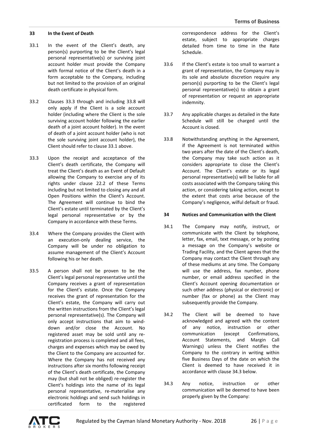#### **33 In the Event of Death**

- 33.1 In the event of the Client's death, any person(s) purporting to be the Client's legal personal representative(s) or surviving joint account holder must provide the Company with formal notice of the Client's death in a form acceptable to the Company, including but not limited to the provision of an original death certificate in physical form.
- 33.2 Clauses 33.3 through and including 33.8 will only apply if the Client is a sole account holder (including where the Client is the sole surviving account holder following the earlier death of a joint account holder). In the event of death of a joint account holder (who is not the sole surviving joint account holder), the Client should refer to clause 33.1 above.
- 33.3 Upon the receipt and acceptance of the Client's death certificate, the Company will treat the Client's death as an Event of Default allowing the Company to exercise any of its rights under clause 22.2 of these Terms including but not limited to closing any and all Open Positions within the Client's Account. The Agreement will continue to bind the Client's estate until terminated by the Client's legal personal representative or by the Company in accordance with these Terms.
- 33.4 Where the Company provides the Client with an execution-only dealing service, the Company will be under no obligation to assume management of the Client's Account following his or her death.
- 33.5 A person shall not be proven to be the Client's legal personal representative until the Company receives a grant of representation for the Client's estate. Once the Company receives the grant of representation for the Client's estate, the Company will carry out the written instructions from the Client's legal personal representative(s). The Company will only accept instructions that aim to winddown and/or close the Account. No registered asset may be sold until any reregistration process is completed and all fees, charges and expenses which may be owed by the Client to the Company are accounted for. Where the Company has not received any instructions after six months following receipt of the Client's death certificate, the Company may (but shall not be obliged) re-register the Client's holdings into the name of its legal personal representative, re-materialise any electronic holdings and send such holdings in certificated form to the registered

correspondence address for the Client's estate, subject to appropriate charges detailed from time to time in the Rate Schedule.

- 33.6 If the Client's estate is too small to warrant a grant of representation, the Company may in its sole and absolute discretion require any person(s) purporting to be the Client's legal personal representative(s) to obtain a grant of representation or request an appropriate indemnity.
- 33.7 Any applicable charges as detailed in the Rate Schedule will still be charged until the Account is closed.
- 33.8 Notwithstanding anything in the Agreement, if the Agreement is not terminated within two years after the date of the Client's death, the Company may take such action as it considers appropriate to close the Client's Account. The Client's estate or its legal personal representative(s) will be liable for all costs associated with the Company taking this action, or considering taking action, except to the extent that costs arise because of the Company's negligence, wilful default or fraud.

### **34 Notices and Communication with the Client**

- 34.1 The Company may notify, instruct, or communicate with the Client by telephone, letter, fax, email, text message, or by posting a message on the Company's website or Trading Facility, and the Client agrees that the Company may contact the Client through any of these mediums at any time. The Company will use the address, fax number, phone number, or email address specified in the Client's Account opening documentation or such other address (physical or electronic) or number (fax or phone) as the Client may subsequently provide the Company.
- 34.2 The Client will be deemed to have acknowledged and agreed with the content of any notice, instruction or other communication (except Confirmations, Account Statements, and Margin Call Warnings) unless the Client notifies the Company to the contrary in writing within five Business Days of the date on which the Client is deemed to have received it in accordance with clause 34.3 below.
- 34.3 Any notice, instruction or other communication will be deemed to have been properly given by the Company:

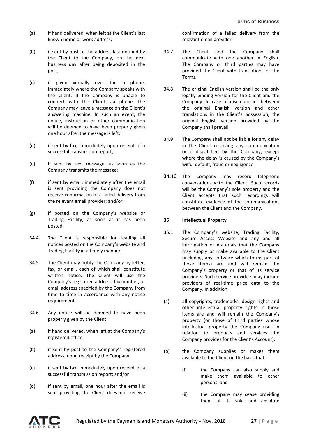- (a) if hand delivered, when left at the Client's last known home or work address;
- (b) if sent by post to the address last notified by the Client to the Company, on the next business day after being deposited in the post;
- (c) if given verbally over the telephone, immediately where the Company speaks with the Client. If the Company is unable to connect with the Client via phone, the Company may leave a message on the Client's answering machine. In such an event, the notice, instruction or other communication will be deemed to have been properly given one hour after the message is left;
- (d) if sent by fax, immediately upon receipt of a successful transmission report;
- (e) if sent by text message, as soon as the Company transmits the message;
- (f) if sent by email, immediately after the email is sent providing the Company does not receive confirmation of a failed delivery from the relevant email provider; and/or
- (g) if posted on the Company's website or Trading Facility, as soon as it has been posted.
- 34.4 The Client is responsible for reading all notices posted on the Company's website and Trading Facility in a timely manner.
- 34.5 The Client may notify the Company by letter, fax, or email, each of which shall constitute written notice. The Client will use the Company's registered address, fax number, or email address specified by the Company from time to time in accordance with any notice requirement.
- 34.6 Any notice will be deemed to have been properly given by the Client:
- (a) if hand delivered, when left at the Company's registered office;
- (b) if sent by post to the Company's registered address, upon receipt by the Company;
- (c) if sent by fax, immediately upon receipt of a successful transmission report; and/or
- (d) if sent by email, one hour after the email is sent providing the Client does not receive

confirmation of a failed delivery from the relevant email provider.

- 34.7 The Client and the Company shall communicate with one another in English. The Company or third parties may have provided the Client with translations of the Terms.
- 34.8 The original English version shall be the only legally binding version for the Client and the Company. In case of discrepancies between the original English version and other translations in the Client's possession, the original English version provided by the Company shall prevail.
- 34.9 The Company shall not be liable for any delay in the Client receiving any communication once dispatched by the Company, except where the delay is caused by the Company's wilful default, fraud or negligence.
- 34.10 The Company may record telephone conversations with the Client. Such records will be the Company's sole property and the Client accepts that such recordings will constitute evidence of the communications between the Client and the Company.

# **35 Intellectual Property**

- 35.1 The Company's website, Trading Facility, Secure Access Website and any and all information or materials that the Company may supply or make available to the Client (including any software which forms part of those items) are and will remain the Company's property or that of its service providers. Such service providers may include providers of real-time price data to the Company. In addition:
- (a) all copyrights, trademarks, design rights and other intellectual property rights in those items are and will remain the Company's property (or those of third parties whose intellectual property the Company uses in relation to products and services the Company provides for the Client's Account);
- (b) the Company supplies or makes them available to the Client on the basis that:
	- (i) the Company can also supply and make them available to other persons; and
	- (ii) the Company may cease providing them at its sole and absolute

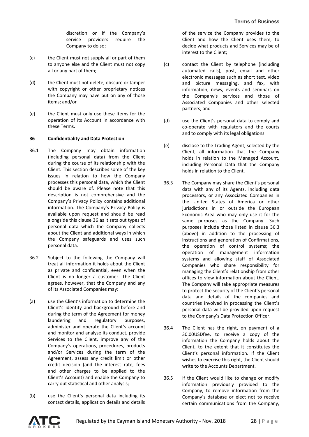discretion or if the Company's service providers require the Company to do so;

- (c) the Client must not supply all or part of them to anyone else and the Client must not copy all or any part of them;
- (d) the Client must not delete, obscure or tamper with copyright or other proprietary notices the Company may have put on any of those items; and/or
- (e) the Client must only use these items for the operation of its Account in accordance with these Terms.

### **36 Confidentiality and Data Protection**

- 36.1 The Company may obtain information (including personal data) from the Client during the course of its relationship with the Client. This section describes some of the key issues in relation to how the Company processes this personal data, which the Client should be aware of. Please note that this description is not comprehensive and the Company's Privacy Policy contains additional information. The Company's Privacy Policy is available upon request and should be read alongside this clause 36 as it sets out types of personal data which the Company collects about the Client and additional ways in which the Company safeguards and uses such personal data.
- 36.2 Subject to the following the Company will treat all information it holds about the Client as private and confidential, even when the Client is no longer a customer. The Client agrees, however, that the Company and any of its Associated Companies may:
- (a) use the Client's information to determine the Client's identity and background before and during the term of the Agreement for money laundering and regulatory purposes, administer and operate the Client's account and monitor and analyse its conduct, provide Services to the Client, improve any of the Company's operations, procedures, products and/or Services during the term of the Agreement, assess any credit limit or other credit decision (and the interest rate, fees and other charges to be applied to the Client's Account) and enable the Company to carry out statistical and other analysis;
- (b) use the Client's personal data including its contact details, application details and details

of the service the Company provides to the Client and how the Client uses them, to decide what products and Services may be of interest to the Client;

- (c) contact the Client by telephone (including automated calls), post, email and other electronic messages such as short text, video and picture messaging, and fax, with information, news, events and seminars on the Company's services and those of Associated Companies and other selected partners; and
- (d) use the Client's personal data to comply and co-operate with regulators and the courts and to comply with its legal obligations.
- (e) disclose to the Trading Agent, selected by the Client, all information that the Company holds in relation to the Managed Account, including Personal Data that the Company holds in relation to the Client.
- 36.3 The Company may share the Client's personal data with any of its Agents, including data processors, or any Associated Companies in the United States of America or other jurisdictions in or outside the European Economic Area who may only use it for the same purposes as the Company. Such purposes include those listed in clause 36.3 (above) in addition to the processing of instructions and generation of Confirmations, the operation of control systems; the operation of management information systems and allowing staff of Associated Companies who share responsibility for managing the Client's relationship from other offices to view information about the Client. The Company will take appropriate measures to protect the security of the Client's personal data and details of the companies and countries involved in processing the Client's personal data will be provided upon request to the Company's Data Protection Officer.
- 36.4 The Client has the right, on payment of a 30.00USDfee, to receive a copy of the information the Company holds about the Client, to the extent that it constitutes the Client's personal information. If the Client wishes to exercise this right, the Client should write to the Accounts Department.
- 36.5 If the Client would like to change or modify information previously provided to the Company, to remove information from the Company's database or elect not to receive certain communications from the Company,

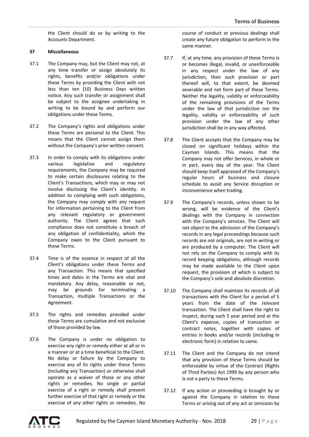the Client should do so by writing to the Accounts Department.

# **37 Miscellaneous**

- 37.1 The Company may, but the Client may not, at any time transfer or assign absolutely its rights, benefits and/or obligations under these Terms by providing the Client with not less than ten (10) Business Days written notice. Any such transfer or assignment shall be subject to the assignee undertaking in writing to be bound by and perform our obligations under these Terms.
- 37.2 The Company's rights and obligations under these Terms are personal to the Client. This means that the Client cannot assign them without the Company's prior written consent.
- 37.3 In order to comply with its obligations under various legislative and regulatory requirements, the Company may be required to make certain disclosures relating to the Client's Transactions, which may or may not involve disclosing the Client's identity. In addition to complying with such obligations, the Company may comply with any request for information pertaining to the Client from any relevant regulatory or government authority. The Client agrees that such compliance does not constitute a breach of any obligation of confidentiality, which the Company owes to the Client pursuant to these Terms.
- 37.4 Time is of the essence in respect of all the Client's obligations under these Terms and any Transaction. This means that specified times and dates in the Terms are vital and mandatory. Any delay, reasonable or not, may be grounds for terminating a Transaction, multiple Transactions or the Agreement.
- 37.5 The rights and remedies provided under these Terms are cumulative and not exclusive of those provided by law.
- 37.6 The Company is under no obligation to exercise any right or remedy either at all or in a manner or at a time beneficial to the Client. No delay or failure by the Company to exercise any of its rights under these Terms (including any Transaction) or otherwise shall operate as a waiver of those or any other rights or remedies. No single or partial exercise of a right or remedy shall prevent further exercise of that right or remedy or the exercise of any other rights or remedies. No

course of conduct or previous dealings shall create any future obligation to perform in the same manner.

- 37.7 If, at any time, any provision of these Terms is or becomes illegal, invalid, or unenforceable in any respect under the law of any jurisdiction, then such provision or part thereof will, to that extent, be deemed severable and not form part of these Terms. Neither the legality, validity or enforceability of the remaining provisions of the Terms under the law of that jurisdiction nor the legality, validity or enforceability of such provision under the law of any other jurisdiction shall be in any way affected.
- 37.8 The Client accepts that the Company may be closed on significant holidays within the Cayman Islands. This means that the Company may not offer Services, in whole or in part, every day of the year. The Client should keep itself appraised of the Company's regular hours of business and closure schedule to avoid any Service disruption or inconvenience when trading.
- 37.9 The Company's records, unless shown to be wrong, will be evidence of the Client's dealings with the Company in connection with the Company's services. The Client will not object to the admission of the Company's records in any legal proceedings because such records are not originals, are not in writing or are produced by a computer. The Client will not rely on the Company to comply with its record keeping obligations, although records may be made available to the Client upon request, the provision of which is subject to the Company's sole and absolute discretion.
- 37.10 The Company shall maintain its records of all transactions with the Client for a period of 5 years from the date of the relevant transaction. The Client shall have the right to inspect, during such 5 year period and at the Client's expense, copies of transaction or contract notes, together with copies of entries in books and/or records (including in electronic form) in relation to same.
- 37.11 The Client and the Company do not intend that any provision of these Terms should be enforceable by virtue of the Contract (Rights of Third Parties) Act 1999 by any person who is not a party to these Terms.
- 37.12 If any action or proceeding is brought by or against the Company in relation to these Terms or arising out of any act or omission by

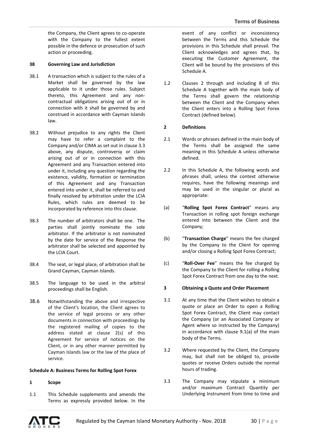the Company, the Client agrees to co-operate with the Company to the fullest extent possible in the defence or prosecution of such action or proceeding.

#### **38 Governing Law and Jurisdiction**

- 38.1 A transaction which is subject to the rules of a Market shall be governed by the law applicable to it under those rules. Subject thereto, this Agreement and any noncontractual obligations arising out of or in connection with it shall be governed by and construed in accordance with Cayman Islands law.
- 38.2 Without prejudice to any rights the Client may have to refer a complaint to the Company and/or CIMA as set out in clause 3.3 above, any dispute, controversy or claim arising out of or in connection with this Agreement and any Transaction entered into under it, including any question regarding the existence, validity, formation or termination of this Agreement and any Transaction entered into under it, shall be referred to and finally resolved by arbitration under the LCIA Rules, which rules are deemed to be incorporated by reference into this clause.
- 38.3 The number of arbitrators shall be one. The parties shall jointly nominate the sole arbitrator. If the arbitrator is not nominated by the date for service of the Response the arbitrator shall be selected and appointed by the LCIA Court.
- 38.4 The seat, or legal place, of arbitration shall be Grand Cayman, Cayman Islands.
- 38.5 The language to be used in the arbitral proceedings shall be English.
- 38.6 Notwithstanding the above and irrespective of the Client's location, the Client agrees to the service of legal process or any other documents in connection with proceedings by the registered mailing of copies to the address stated at clause 2(s) of this Agreement for service of notices on the Client, or in any other manner permitted by Cayman Islands law or the law of the place of service.

#### **Schedule A: Business Terms for Rolling Spot Forex**

#### **1 Scope**

1.1 This Schedule supplements and amends the Terms as expressly provided below. In the event of any conflict or inconsistency between the Terms and this Schedule the provisions in this Schedule shall prevail. The Client acknowledges and agrees that, by executing the Customer Agreement, the Client will be bound by the provisions of this Schedule A.

1.2 Clauses 2 through and including 8 of this Schedule A together with the main body of the Terms shall govern the relationship between the Client and the Company when the Client enters into a Rolling Spot Forex Contract (defined below).

### **2 Definitions**

- 2.1 Words or phrases defined in the main body of the Terms shall be assigned the same meaning in this Schedule A unless otherwise defined.
- 2.2 In this Schedule A, the following words and phrases shall, unless the context otherwise requires, have the following meanings and may be used in the singular or plural as appropriate:
- (a) "**Rolling Spot Forex Contract**" means any Transaction in rolling spot foreign exchange entered into between the Client and the Company;
- (b) "**Transaction Charge**" means the fee charged by the Company to the Client for opening and/or closing a Rolling Spot Forex Contract;
- (c) "**Roll-Over Fee**" means the fee charged by the Company to the Client for rolling a Rolling Spot Forex Contract from one day to the next.

# **3 Obtaining a Quote and Order Placement**

- 3.1 At any time that the Client wishes to obtain a quote or place an Order to open a Rolling Spot Forex Contract, the Client may contact the Company (or an Associated Company or Agent where so instructed by the Company) in accordance with clause 9.1(a) of the main body of the Terms.
- 3.2 Where requested by the Client, the Company may, but shall not be obliged to, provide quotes or receive Orders outside the normal hours of trading.
- 3.3 The Company may stipulate a minimum and/or maximum Contract Quantity per Underlying Instrument from time to time and

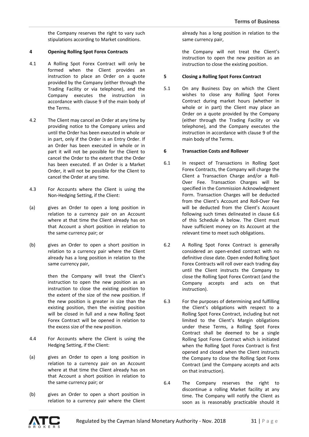the Company reserves the right to vary such stipulations according to Market conditions.

## **4 Opening Rolling Spot Forex Contracts**

- 4.1 A Rolling Spot Forex Contract will only be formed when the Client provides an instruction to place an Order on a quote provided by the Company (either through the Trading Facility or via telephone), and the Company executes the instruction in accordance with clause 9 of the main body of the Terms.
- 4.2 The Client may cancel an Order at any time by providing notice to the Company unless and until the Order has been executed in whole or in part, only if the Order is an Entry Order. If an Order has been executed in whole or in part it will not be possible for the Client to cancel the Order to the extent that the Order has been executed. If an Order is a Market Order, it will not be possible for the Client to cancel the Order at any time.
- 4.3 For Accounts where the Client is using the Non-Hedging Setting, if the Client:
- (a) gives an Order to open a long position in relation to a currency pair on an Account where at that time the Client already has on that Account a short position in relation to the same currency pair; or
- (b) gives an Order to open a short position in relation to a currency pair where the Client already has a long position in relation to the same currency pair,

then the Company will treat the Client's instruction to open the new position as an instruction to close the existing position to the extent of the size of the new position. If the new position is greater in size than the existing position, then the existing position will be closed in full and a new Rolling Spot Forex Contract will be opened in relation to the excess size of the new position.

- 4.4 For Accounts where the Client is using the Hedging Setting, if the Client:
- (a) gives an Order to open a long position in relation to a currency pair on an Account where at that time the Client already has on that Account a short position in relation to the same currency pair; or
- (b) gives an Order to open a short position in relation to a currency pair where the Client

already has a long position in relation to the same currency pair,

the Company will not treat the Client's instruction to open the new position as an instruction to close the existing position.

### **5 Closing a Rolling Spot Forex Contract**

5.1 On any Business Day on which the Client wishes to close any Rolling Spot Forex Contract during market hours (whether in whole or in part) the Client may place an Order on a quote provided by the Company (either through the Trading Facility or via telephone), and the Company executes the instruction in accordance with clause 9 of the main body of the Terms.

### **6 Transaction Costs and Rollover**

- 6.1 In respect of Transactions in Rolling Spot Forex Contracts, the Company will charge the Client a Transaction Charge and/or a Roll-Over Fee. Transaction Charges will be specified in the Commission Acknowledgment Form. Transaction Charges will be deducted from the Client's Account and Roll-Over Fee will be deducted from the Client's Account following such times delineated in clause 6.6 of this Schedule A below. The Client must have sufficient money on its Account at the relevant time to meet such obligations.
- 6.2 A Rolling Spot Forex Contract is generally considered an open-ended contract with no definitive close date. Open ended Rolling Spot Forex Contracts will roll over each trading day until the Client instructs the Company to close the Rolling Spot Forex Contract (and the Company accepts and acts on that instruction).
- 6.3 For the purposes of determining and fulfilling the Client's obligations with respect to a Rolling Spot Forex Contract, including but not limited to the Client's Margin obligations under these Terms, a Rolling Spot Forex Contract shall be deemed to be a single Rolling Spot Forex Contract which is initiated when the Rolling Spot Forex Contract is first opened and closed when the Client instructs the Company to close the Rolling Spot Forex Contract (and the Company accepts and acts on that instruction).
- 6.4 The Company reserves the right to discontinue a rolling Market facility at any time. The Company will notify the Client as soon as is reasonably practicable should it

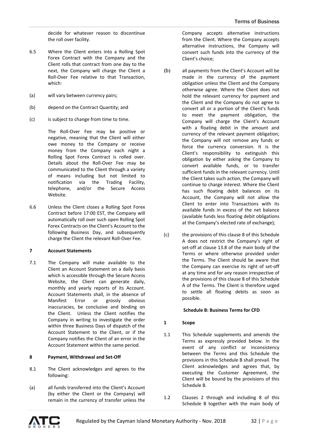decide for whatever reason to discontinue the roll over facility.

- 6.5 Where the Client enters into a Rolling Spot Forex Contract with the Company and the Client rolls that contract from one day to the next, the Company will charge the Client a Roll-Over Fee relative to that Transaction, which:
- (a) will vary between currency pairs;
- (b) depend on the Contract Quantity; and
- (c) is subject to change from time to time.

The Roll-Over Fee may be positive or negative, meaning that the Client will either owe money to the Company or receive money from the Company each night a Rolling Spot Forex Contract is rolled over. Details about the Roll-Over Fee may be communicated to the Client through a variety of means including but not limited to notification via the Trading Facility, telephone, and/or the Secure Access Website.

6.6 Unless the Client closes a Rolling Spot Forex Contract before 17:00 EST, the Company will automatically roll over such open Rolling Spot Forex Contracts on the Client's Account to the following Business Day, and subsequently charge the Client the relevant Roll-Over Fee.

#### **7 Account Statements**

7.1 The Company will make available to the Client an Account Statement on a daily basis which is accessible through the Secure Access Website, the Client can generate daily, monthly and yearly reports of its Account. Account Statements shall, in the absence of Manifest Error or grossly obvious inaccuracies, be conclusive and binding on the Client. Unless the Client notifies the Company in writing to investigate the order within three Business Days of dispatch of the Account Statement to the Client, or if the Company notifies the Client of an error in the Account Statement within the same period.

#### **8 Payment, Withdrawal and Set-Off**

- 8.1 The Client acknowledges and agrees to the following:
- (a) all funds transferred into the Client's Account (by either the Client or the Company) will remain in the currency of transfer unless the

Company accepts alternative instructions from the Client. Where the Company accepts alternative instructions, the Company will convert such funds into the currency of the Client's choice;

- (b) all payments from the Client's Account will be made in the currency of the payment obligation unless the Client and the Company otherwise agree. Where the Client does not hold the relevant currency for payment and the Client and the Company do not agree to convert all or a portion of the Client's funds to meet the payment obligation, the Company will charge the Client's Account with a floating debit in the amount and currency of the relevant payment obligation; the Company will not remove any funds or force the currency conversion. It is the Client's responsibility to extinguish this obligation by either asking the Company to convert available funds, or to transfer sufficient funds in the relevant currency. Until the Client takes such action, the Company will continue to charge interest. Where the Client has such floating debit balances on its Account, the Company will not allow the Client to enter into Transactions with its available funds in excess of the net balance (available funds less floating debit obligations at the Company's elected rate of exchange);
- (c) the provisions of this clause 8 of this Schedule A does not restrict the Company's right of set-off at clause 13.8 of the main body of the Terms or where otherwise provided under the Terms. The Client should be aware that the Company can exercise its right of set-off at any time and for any reason irrespective of the provisions of this clause 8 of this Schedule A of the Terms. The Client is therefore urged to settle all floating debits as soon as possible.

# **Schedule B: Business Terms for CFD**

# **1 Scope**

- 1.1 This Schedule supplements and amends the Terms as expressly provided below. In the event of any conflict or inconsistency between the Terms and this Schedule the provisions in this Schedule B shall prevail. The Client acknowledges and agrees that, by executing the Customer Agreement, the Client will be bound by the provisions of this Schedule B.
- 1.2 Clauses 2 through and including 8 of this Schedule B together with the main body of

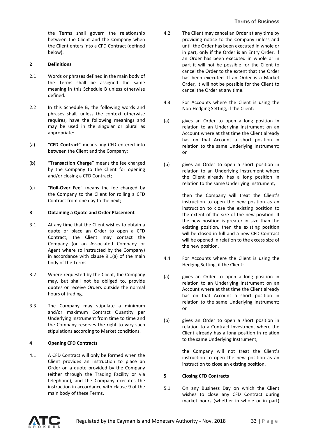the Terms shall govern the relationship between the Client and the Company when the Client enters into a CFD Contract (defined below).

# **2 Definitions**

- 2.1 Words or phrases defined in the main body of the Terms shall be assigned the same meaning in this Schedule B unless otherwise defined.
- 2.2 In this Schedule B, the following words and phrases shall, unless the context otherwise requires, have the following meanings and may be used in the singular or plural as appropriate:
- (a) "**CFD Contract**" means any CFD entered into between the Client and the Company;
- (b) "**Transaction Charge**" means the fee charged by the Company to the Client for opening and/or closing a CFD Contract;
- (c) "**Roll-Over Fee**" means the fee charged by the Company to the Client for rolling a CFD Contract from one day to the next;

# **3 Obtaining a Quote and Order Placement**

- 3.1 At any time that the Client wishes to obtain a quote or place an Order to open a CFD Contract, the Client may contact the Company (or an Associated Company or Agent where so instructed by the Company) in accordance with clause 9.1(a) of the main body of the Terms.
- 3.2 Where requested by the Client, the Company may, but shall not be obliged to, provide quotes or receive Orders outside the normal hours of trading.
- 3.3 The Company may stipulate a minimum and/or maximum Contract Quantity per Underlying Instrument from time to time and the Company reserves the right to vary such stipulations according to Market conditions.

# **4 Opening CFD Contracts**

4.1 A CFD Contract will only be formed when the Client provides an instruction to place an Order on a quote provided by the Company (either through the Trading Facility or via telephone), and the Company executes the instruction in accordance with clause 9 of the main body of these Terms.

- 4.2 The Client may cancel an Order at any time by providing notice to the Company unless and until the Order has been executed in whole or in part, only if the Order is an Entry Order. If an Order has been executed in whole or in part it will not be possible for the Client to cancel the Order to the extent that the Order has been executed. If an Order is a Market Order, it will not be possible for the Client to cancel the Order at any time.
- 4.3 For Accounts where the Client is using the Non-Hedging Setting, if the Client:
- (a) gives an Order to open a long position in relation to an Underlying Instrument on an Account where at that time the Client already has on that Account a short position in relation to the same Underlying Instrument; or
- (b) gives an Order to open a short position in relation to an Underlying Instrument where the Client already has a long position in relation to the same Underlying Instrument,

then the Company will treat the Client's instruction to open the new position as an instruction to close the existing position to the extent of the size of the new position. If the new position is greater in size than the existing position, then the existing position will be closed in full and a new CFD Contract will be opened in relation to the excess size of the new position.

- 4.4 For Accounts where the Client is using the Hedging Setting, if the Client:
- (a) gives an Order to open a long position in relation to an Underlying Instrument on an Account where at that time the Client already has on that Account a short position in relation to the same Underlying Instrument; or
- (b) gives an Order to open a short position in relation to a Contract Investment where the Client already has a long position in relation to the same Underlying Instrument,

the Company will not treat the Client's instruction to open the new position as an instruction to close an existing position.

#### **5 Closing CFD Contracts**

5.1 On any Business Day on which the Client wishes to close any CFD Contract during market hours (whether in whole or in part)

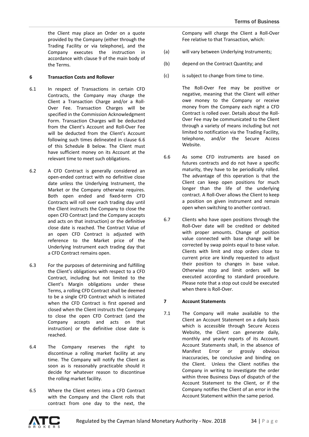the Client may place an Order on a quote provided by the Company (either through the Trading Facility or via telephone), and the Company executes the instruction in accordance with clause 9 of the main body of the Terms.

### **6 Transaction Costs and Rollover**

- 6.1 In respect of Transactions in certain CFD Contracts, the Company may charge the Client a Transaction Charge and/or a Roll-Over Fee. Transaction Charges will be specified in the Commission Acknowledgment Form. Transaction Charges will be deducted from the Client's Account and Roll-Over Fee will be deducted from the Client's Account following such times delineated in clause 6.6 of this Schedule B below. The Client must have sufficient money on its Account at the relevant time to meet such obligations.
- 6.2 A CFD Contract is generally considered an open-ended contract with no definitive close date unless the Underlying Instrument, the Market or the Company otherwise requires. Both open ended and fixed-term CFD Contracts will roll over each trading day until the Client instructs the Company to close the open CFD Contract (and the Company accepts and acts on that instruction) or the definitive close date is reached. The Contract Value of an open CFD Contract is adjusted with reference to the Market price of the Underlying Instrument each trading day that a CFD Contract remains open.
- 6.3 For the purposes of determining and fulfilling the Client's obligations with respect to a CFD Contract, including but not limited to the Client's Margin obligations under these Terms, a rolling CFD Contract shall be deemed to be a single CFD Contract which is initiated when the CFD Contract is first opened and closed when the Client instructs the Company to close the open CFD Contract (and the Company accepts and acts on that instruction) or the definitive close date is reached.
- 6.4 The Company reserves the right to discontinue a rolling market facility at any time. The Company will notify the Client as soon as is reasonably practicable should it decide for whatever reason to discontinue the rolling market facility.
- 6.5 Where the Client enters into a CFD Contract with the Company and the Client rolls that contract from one day to the next, the

Company will charge the Client a Roll-Over Fee relative to that Transaction, which:

- (a) will vary between Underlying Instruments;
- (b) depend on the Contract Quantity; and
- (c) is subject to change from time to time.

The Roll-Over Fee may be positive or negative, meaning that the Client will either owe money to the Company or receive money from the Company each night a CFD Contract is rolled over. Details about the Roll-Over Fee may be communicated to the Client through a variety of means including but not limited to notification via the Trading Facility, telephone, and/or the Secure Access Website.

- 6.6 As some CFD instruments are based on futures contracts and do not have a specific maturity, they have to be periodically rolled. The advantage of this operation is that the Client can keep open positions for much longer than the life of the underlying contract. A Roll-Over allows the Client to keep a position on given instrument and remain open when switching to another contract.
- 6.7 Clients who have open positions through the Roll-Over date will be credited or debited with proper amounts. Change of position value connected with base change will be corrected by swap points equal to base value. Clients with limit and stop orders close to current price are kindly requested to adjust their position to changes in base value. Otherwise stop and limit orders will be executed according to standard procedure. Please note that a stop out could be executed when there is Roll-Over.

# **7 Account Statements**

7.1 The Company will make available to the Client an Account Statement on a daily basis which is accessible through Secure Access Website, the Client can generate daily, monthly and yearly reports of its Account. Account Statements shall, in the absence of Manifest Error or grossly obvious inaccuracies, be conclusive and binding on the Client. Unless the Client notifies the Company in writing to investigate the order within three Business Days of dispatch of the Account Statement to the Client, or if the Company notifies the Client of an error in the Account Statement within the same period.